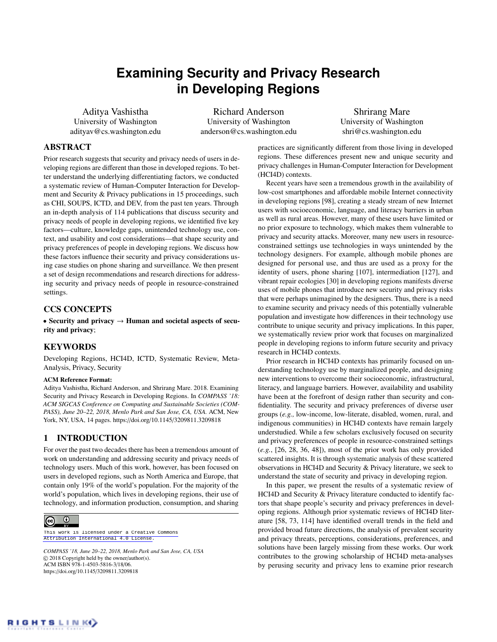# **Examining Security and Privacy Research in Developing Regions**

Aditya Vashistha University of Washington adityav@cs.washington.edu

Richard Anderson University of Washington anderson@cs.washington.edu

Shrirang Mare University of Washington shri@cs.washington.edu

# ABSTRACT

Prior research suggests that security and privacy needs of users in developing regions are different than those in developed regions. To better understand the underlying differentiating factors, we conducted a systematic review of Human-Computer Interaction for Development and Security & Privacy publications in 15 proceedings, such as CHI, SOUPS, ICTD, and DEV, from the past ten years. Through an in-depth analysis of 114 publications that discuss security and privacy needs of people in developing regions, we identified five key factors—culture, knowledge gaps, unintended technology use, context, and usability and cost considerations—that shape security and privacy preferences of people in developing regions. We discuss how these factors influence their security and privacy considerations using case studies on phone sharing and surveillance. We then present a set of design recommendations and research directions for addressing security and privacy needs of people in resource-constrained settings.

# CCS CONCEPTS

• Security and privacy  $\rightarrow$  Human and societal aspects of security and privacy;

# **KEYWORDS**

Developing Regions, HCI4D, ICTD, Systematic Review, Meta-Analysis, Privacy, Security

#### ACM Reference Format:

Aditya Vashistha, Richard Anderson, and Shrirang Mare. 2018. Examining Security and Privacy Research in Developing Regions. In *COMPASS '18: ACM SIGCAS Conference on Computing and Sustainable Societies (COM-PASS), June 20–22, 2018, Menlo Park and San Jose, CA, USA.* ACM, New York, NY, USA, [14](#page-13-0) pages. https://doi.org/10.1145/[3209811.3209818](https://doi.org/10.1145/3209811.3209818)

# 1 INTRODUCTION

For over the past two decades there has been a tremendous amount of work on understanding and addressing security and privacy needs of technology users. Much of this work, however, has been focused on users in developed regions, such as North America and Europe, that contain only 19% of the world's population. For the majority of the world's population, which lives in developing regions, their use of technology, and information production, consumption, and sharing



[This work is licensed under a Creative Commons](https://creativecommons.org/licenses/by/4.0/) [Attribution International 4.0 License.](https://creativecommons.org/licenses/by/4.0/)

*COMPASS '18, June 20–22, 2018, Menlo Park and San Jose, CA, USA* © 2018 Copyright held by the owner/author(s). ACM ISBN 978-1-4503-5816-3/18/06. https://doi.org/10.1145/[3209811.3209818](https://doi.org/10.1145/3209811.3209818)

practices are significantly different from those living in developed regions. These differences present new and unique security and privacy challenges in Human-Computer Interaction for Development (HCI4D) contexts.

Recent years have seen a tremendous growth in the availability of low-cost smartphones and affordable mobile Internet connectivity in developing regions [\[98\]](#page-12-0), creating a steady stream of new Internet users with socioeconomic, language, and literacy barriers in urban as well as rural areas. However, many of these users have limited or no prior exposure to technology, which makes them vulnerable to privacy and security attacks. Moreover, many new users in resourceconstrained settings use technologies in ways unintended by the technology designers. For example, although mobile phones are designed for personal use, and thus are used as a proxy for the identity of users, phone sharing [\[107\]](#page-12-1), intermediation [\[127\]](#page-12-2), and vibrant repair ecologies [\[30\]](#page-10-0) in developing regions manifests diverse uses of mobile phones that introduce new security and privacy risks that were perhaps unimagined by the designers. Thus, there is a need to examine security and privacy needs of this potentially vulnerable population and investigate how differences in their technology use contribute to unique security and privacy implications. In this paper, we systematically review prior work that focuses on marginalized people in developing regions to inform future security and privacy research in HCI4D contexts.

Prior research in HCI4D contexts has primarily focused on understanding technology use by marginalized people, and designing new interventions to overcome their socioeconomic, infrastructural, literacy, and language barriers. However, availability and usability have been at the forefront of design rather than security and confidentiality. The security and privacy preferences of diverse user groups (*e.g.,* low-income, low-literate, disabled, women, rural, and indigenous communities) in HCI4D contexts have remain largely understudied. While a few scholars exclusively focused on security and privacy preferences of people in resource-constrained settings (*e.g.*, [\[26,](#page-10-1) [28,](#page-10-2) [36,](#page-10-3) [48\]](#page-10-4)), most of the prior work has only provided scattered insights. It is through systematic analysis of these scattered observations in HCI4D and Security & Privacy literature, we seek to understand the state of security and privacy in developing region.

In this paper, we present the results of a systematic review of HCI4D and Security & Privacy literature conducted to identify factors that shape people's security and privacy preferences in developing regions. Although prior systematic reviews of HCI4D literature [\[58,](#page-11-0) [73,](#page-11-1) [114\]](#page-12-3) have identified overall trends in the field and provided broad future directions, the analysis of prevalent security and privacy threats, perceptions, considerations, preferences, and solutions have been largely missing from these works. Our work contributes to the growing scholarship of HCI4D meta-analyses by perusing security and privacy lens to examine prior research

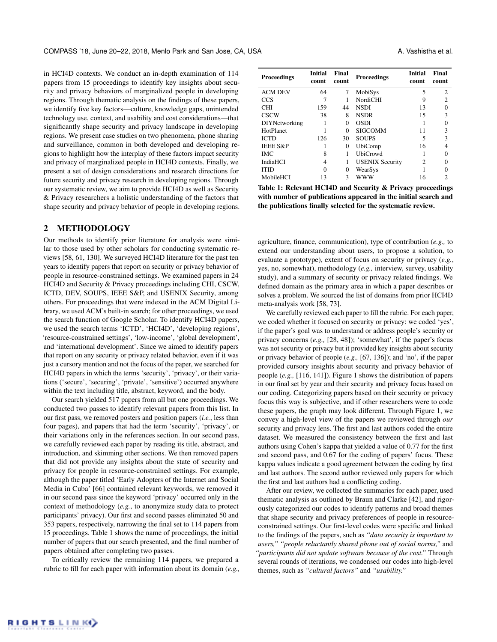in HCI4D contexts. We conduct an in-depth examination of 114 papers from 15 proceedings to identify key insights about security and privacy behaviors of marginalized people in developing regions. Through thematic analysis on the findings of these papers, we identify five key factors—culture, knowledge gaps, unintended technology use, context, and usability and cost considerations—that significantly shape security and privacy landscape in developing regions. We present case studies on two phenomena, phone sharing and surveillance, common in both developed and developing regions to highlight how the interplay of these factors impact security and privacy of marginalized people in HCI4D contexts. Finally, we present a set of design considerations and research directions for future security and privacy research in developing regions. Through our systematic review, we aim to provide HCI4D as well as Security & Privacy researchers a holistic understanding of the factors that shape security and privacy behavior of people in developing regions.

### 2 METHODOLOGY

Our methods to identify prior literature for analysis were similar to those used by other scholars for conducting systematic reviews [\[58,](#page-11-0) [61,](#page-11-2) [130\]](#page-13-1). We surveyed HCI4D literature for the past ten years to identify papers that report on security or privacy behavior of people in resource-constrained settings. We examined papers in 24 HCI4D and Security & Privacy proceedings including CHI, CSCW, ICTD, DEV, SOUPS, IEEE S&P, and USENIX Security, among others. For proceedings that were indexed in the ACM Digital Library, we used ACM's built-in search; for other proceedings, we used the search function of Google Scholar. To identify HCI4D papers, we used the search terms 'ICTD', 'HCI4D', 'developing regions', 'resource-constrained settings', 'low-income', 'global development', and 'international development'. Since we aimed to identify papers that report on any security or privacy related behavior, even if it was just a cursory mention and not the focus of the paper, we searched for HCI4D papers in which the terms 'security', 'privacy', or their variations ('secure', 'securing', 'private', 'sensitive') occurred anywhere within the text including title, abstract, keyword, and the body.

Our search yielded 517 papers from all but one proceedings. We conducted two passes to identify relevant papers from this list. In our first pass, we removed posters and position papers (*i.e.*, less than four pages), and papers that had the term 'security', 'privacy', or their variations only in the references section. In our second pass, we carefully reviewed each paper by reading its title, abstract, and introduction, and skimming other sections. We then removed papers that did not provide any insights about the state of security and privacy for people in resource-constrained settings. For example, although the paper titled 'Early Adopters of the Internet and Social Media in Cuba' [\[66\]](#page-11-3) contained relevant keywords, we removed it in our second pass since the keyword 'privacy' occurred only in the context of methodology (*e.g.*, to anonymize study data to protect participants' privacy). Our first and second passes eliminated 50 and 353 papers, respectively, narrowing the final set to 114 papers from 15 proceedings. Table [1](#page-1-0) shows the name of proceedings, the initial number of papers that our search presented, and the final number of papers obtained after completing two passes.

To critically review the remaining 114 papers, we prepared a rubric to fill for each paper with information about its domain (*e.g.,*

<span id="page-1-0"></span>

| Proceedings          | <b>Initial</b><br>count | <b>Final</b><br>count | <b>Proceedings</b>     | <b>Initial</b><br>count | Final<br>count |
|----------------------|-------------------------|-----------------------|------------------------|-------------------------|----------------|
| <b>ACM DEV</b>       | 64                      | 7                     | MobiSys                | 5                       | 2              |
| <b>CCS</b>           | 7                       |                       | NordiCHI               | 9                       | 2              |
| CHI                  | 159                     | 44                    | <b>NSDI</b>            | 13                      | $\theta$       |
| <b>CSCW</b>          | 38                      | 8                     | <b>NSDR</b>            | 15                      | 3              |
| <b>DIYNetworking</b> | 1                       | $\Omega$              | <b>OSDI</b>            |                         | $\theta$       |
| HotPlanet            |                         | $\Omega$              | <b>SIGCOMM</b>         | 11                      | 3              |
| ICTD                 | 126                     | 30                    | <b>SOUPS</b>           | 5                       | 3              |
| <b>IEEE S&amp;P</b>  |                         | 0                     | UbiComp                | 16                      | 4              |
| IMC                  | 8                       | 1                     | <b>UbiCrowd</b>        |                         | $\mathbf{0}$   |
| IndiaHCI             | 4                       | 1                     | <b>USENIX Security</b> | 2                       | 0              |
| ITID                 | $\theta$                | 0                     | WearSys                |                         | 0              |
| MobileHCI            | 13                      | 3                     | www                    | 16                      | 2              |

Table 1: Relevant HCI4D and Security & Privacy proceedings with number of publications appeared in the initial search and the publications finally selected for the systematic review.

agriculture, finance, communication), type of contribution (*e.g.,* to extend our understanding about users, to propose a solution, to evaluate a prototype), extent of focus on security or privacy (*e.g.*, yes, no, somewhat), methodology (*e.g.,* interview, survey, usability study), and a summary of security or privacy related findings. We defined domain as the primary area in which a paper describes or solves a problem. We sourced the list of domains from prior HCI4D meta-analysis work [\[58,](#page-11-0) [73\]](#page-11-1).

We carefully reviewed each paper to fill the rubric. For each paper, we coded whether it focused on security or privacy: we coded 'yes', if the paper's goal was to understand or address people's security or privacy concerns (*e.g.,* [\[28,](#page-10-2) [48\]](#page-10-4)); 'somewhat', if the paper's focus was not security or privacy but it provided key insights about security or privacy behavior of people (*e.g.,* [\[67,](#page-11-4) [136\]](#page-13-2)); and 'no', if the paper provided cursory insights about security and privacy behavior of people (*e.g.,* [\[116,](#page-12-4) [141\]](#page-13-3)). Figure [1](#page-2-0) shows the distribution of papers in our final set by year and their security and privacy focus based on our coding. Categorizing papers based on their security or privacy focus this way is subjective, and if other researchers were to code these papers, the graph may look different. Through Figure [1,](#page-2-0) we convey a high-level view of the papers we reviewed through *our* security and privacy lens. The first and last authors coded the entire dataset. We measured the consistency between the first and last authors using Cohen's kappa that yielded a value of 0.77 for the first and second pass, and 0.67 for the coding of papers' focus. These kappa values indicate a good agreement between the coding by first and last authors. The second author reviewed only papers for which the first and last authors had a conflicting coding.

After our review, we collected the summaries for each paper, used thematic analysis as outlined by Braun and Clarke [\[42\]](#page-10-5), and rigorously categorized our codes to identify patterns and broad themes that shape security and privacy preferences of people in resourceconstrained settings. Our first-level codes were specific and linked to the findings of the papers, such as *"data security is important to users," "people reluctantly shared phone out of social norms,"* and *"participants did not update software because of the cost."* Through several rounds of iterations, we condensed our codes into high-level themes, such as *"cultural factors"* and *"usability."*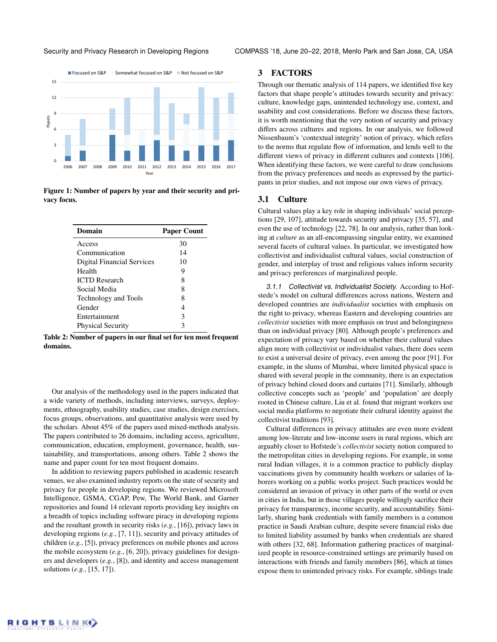<span id="page-2-0"></span>

Figure 1: Number of papers by year and their security and privacy focus.

<span id="page-2-1"></span>

| Domain                     | <b>Paper Count</b> |
|----------------------------|--------------------|
| Access                     | 30                 |
| Communication              | 14                 |
| Digital Financial Services | 10                 |
| Health                     | 9                  |
| <b>ICTD Research</b>       | 8                  |
| Social Media               | 8                  |
| Technology and Tools       | 8                  |
| Gender                     |                    |
| Entertainment              | 3                  |
| <b>Physical Security</b>   |                    |

Table 2: Number of papers in our final set for ten most frequent domains.

Our analysis of the methodology used in the papers indicated that a wide variety of methods, including interviews, surveys, deployments, ethnography, usability studies, case studies, design exercises, focus groups, observations, and quantitative analysis were used by the scholars. About 45% of the papers used mixed-methods analysis. The papers contributed to 26 domains, including access, agriculture, communication, education, employment, governance, health, sustainability, and transportations, among others. Table [2](#page-2-1) shows the name and paper count for ten most frequent domains.

In addition to reviewing papers published in academic research venues, we also examined industry reports on the state of security and privacy for people in developing regions. We reviewed Microsoft Intelligence, GSMA, CGAP, Pew, The World Bank, and Garner repositories and found 14 relevant reports providing key insights on a breadth of topics including software piracy in developing regions and the resultant growth in security risks (*e.g.*, [\[16\]](#page-10-6)), privacy laws in developing regions (*e.g.*, [\[7,](#page-10-7) [11\]](#page-10-8)), security and privacy attitudes of children (*e.g.*, [\[5\]](#page-10-9)), privacy preferences on mobile phones and across the mobile ecosystem (*e.g.*, [\[6,](#page-10-10) [20\]](#page-10-11)), privacy guidelines for designers and developers (*e.g.*, [\[8\]](#page-10-12)), and identity and access management solutions (*e.g.*, [\[15,](#page-10-13) [17\]](#page-10-14)).

# 3 FACTORS

Through our thematic analysis of 114 papers, we identified five key factors that shape people's attitudes towards security and privacy: culture, knowledge gaps, unintended technology use, context, and usability and cost considerations. Before we discuss these factors, it is worth mentioning that the very notion of security and privacy differs across cultures and regions. In our analysis, we followed Nissenbaum's 'contextual integrity' notion of privacy, which refers to the norms that regulate flow of information, and lends well to the different views of privacy in different cultures and contexts [\[106\]](#page-12-5). When identifying these factors, we were careful to draw conclusions from the privacy preferences and needs as expressed by the participants in prior studies, and not impose our own views of privacy.

# 3.1 Culture

Cultural values play a key role in shaping individuals' social perceptions [\[29,](#page-10-15) [107\]](#page-12-1), attitude towards security and privacy [\[35,](#page-10-16) [57\]](#page-11-5), and even the use of technology [\[22,](#page-10-17) [78\]](#page-11-6). In our analysis, rather than looking at *culture* as an all-encompassing singular entity, we examined several facets of cultural values. In particular, we investigated how collectivist and individualist cultural values, social construction of gender, and interplay of trust and religious values inform security and privacy preferences of marginalized people.

3.1.1 Collectivist vs. Individualist Society. According to Hofstede's model on cultural differences across nations, Western and developed countries are *individualist* societies with emphasis on the right to privacy, whereas Eastern and developing countries are *collectivist* societies with more emphasis on trust and belongingness than on individual privacy [\[80\]](#page-11-7). Although people's preferences and expectation of privacy vary based on whether their cultural values align more with collectivist or individualist values, there does seem to exist a universal desire of privacy, even among the poor [\[91\]](#page-12-6). For example, in the slums of Mumbai, where limited physical space is shared with several people in the community, there is an expectation of privacy behind closed doors and curtains [\[71\]](#page-11-8). Similarly, although collective concepts such as 'people' and 'population' are deeply rooted in Chinese culture, Liu et al. found that migrant workers use social media platforms to negotiate their cultural identity against the collectivist traditions [\[93\]](#page-12-7).

Cultural differences in privacy attitudes are even more evident among low-literate and low-income users in rural regions, which are arguably closer to Hofstede's *collectivist* society notion compared to the metropolitan cities in developing regions. For example, in some rural Indian villages, it is a common practice to publicly display vaccinations given by community health workers or salaries of laborers working on a public works project. Such practices would be considered an invasion of privacy in other parts of the world or even in cities in India, but in those villages people willingly sacrifice their privacy for transparency, income security, and accountability. Similarly, sharing bank credentials with family members is a common practice in Saudi Arabian culture, despite severe financial risks due to limited liability assumed by banks when credentials are shared with others [\[32,](#page-10-18) [68\]](#page-11-9). Information gathering practices of marginalized people in resource-constrained settings are primarily based on interactions with friends and family members [\[86\]](#page-11-10), which at times expose them to unintended privacy risks. For example, siblings trade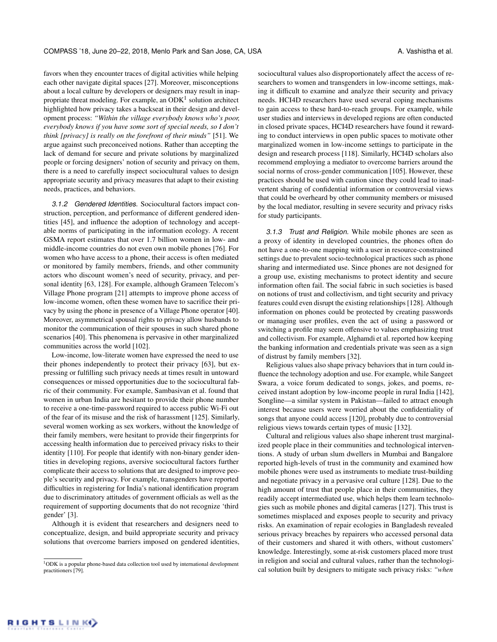favors when they encounter traces of digital activities while helping each other navigate digital spaces [\[27\]](#page-10-19). Moreover, misconceptions about a local culture by developers or designers may result in inappropriate threat modeling. For example, an  $ODK<sup>1</sup>$  $ODK<sup>1</sup>$  $ODK<sup>1</sup>$  solution architect highlighted how privacy takes a backseat in their design and development process: *"Within the village everybody knows who's poor, everybody knows if you have some sort of special needs, so I don't think [privacy] is really on the forefront of their minds"* [\[51\]](#page-11-11). We argue against such preconceived notions. Rather than accepting the lack of demand for secure and private solutions by marginalized people or forcing designers' notion of security and privacy on them, there is a need to carefully inspect sociocultural values to design appropriate security and privacy measures that adapt to their existing needs, practices, and behaviors.

3.1.2 Gendered Identities. Sociocultural factors impact construction, perception, and performance of different gendered identities [\[45\]](#page-10-20), and influence the adoption of technology and acceptable norms of participating in the information ecology. A recent GSMA report estimates that over 1.7 billion women in low- and middle-income countries do not even own mobile phones [\[76\]](#page-11-12). For women who have access to a phone, their access is often mediated or monitored by family members, friends, and other community actors who discount women's need of security, privacy, and personal identity [\[63,](#page-11-13) [128\]](#page-12-8). For example, although Grameen Telecom's Village Phone program [\[21\]](#page-10-21) attempts to improve phone access of low-income women, often these women have to sacrifice their privacy by using the phone in presence of a Village Phone operator [\[40\]](#page-10-22). Moreover, asymmetrical spousal rights to privacy allow husbands to monitor the communication of their spouses in such shared phone scenarios [\[40\]](#page-10-22). This phenomena is pervasive in other marginalized communities across the world [\[102\]](#page-12-9).

Low-income, low-literate women have expressed the need to use their phones independently to protect their privacy [\[63\]](#page-11-13), but expressing or fulfilling such privacy needs at times result in untoward consequences or missed opportunities due to the sociocultural fabric of their community. For example, Sambasivan et al. found that women in urban India are hesitant to provide their phone number to receive a one-time-password required to access public Wi-Fi out of the fear of its misuse and the risk of harassment [\[125\]](#page-12-10). Similarly, several women working as sex workers, without the knowledge of their family members, were hesitant to provide their fingerprints for accessing health information due to perceived privacy risks to their identity [\[110\]](#page-12-11). For people that identify with non-binary gender identities in developing regions, aversive sociocultural factors further complicate their access to solutions that are designed to improve people's security and privacy. For example, transgenders have reported difficulties in registering for India's national identification program due to discriminatory attitudes of government officials as well as the requirement of supporting documents that do not recognize 'third gender' [\[3\]](#page-10-23).

Although it is evident that researchers and designers need to conceptualize, design, and build appropriate security and privacy solutions that overcome barriers imposed on gendered identities, sociocultural values also disproportionately affect the access of researchers to women and transgenders in low-income settings, making it difficult to examine and analyze their security and privacy needs. HCI4D researchers have used several coping mechanisms to gain access to these hard-to-reach groups. For example, while user studies and interviews in developed regions are often conducted in closed private spaces, HCI4D researchers have found it rewarding to conduct interviews in open public spaces to motivate other marginalized women in low-income settings to participate in the design and research process [\[118\]](#page-12-12). Similarly, HCI4D scholars also recommend employing a mediator to overcome barriers around the social norms of cross-gender communication [\[105\]](#page-12-13). However, these practices should be used with caution since they could lead to inadvertent sharing of confidential information or controversial views that could be overheard by other community members or misused by the local mediator, resulting in severe security and privacy risks for study participants.

3.1.3 Trust and Religion. While mobile phones are seen as a proxy of identity in developed countries, the phones often do not have a one-to-one mapping with a user in resource-constrained settings due to prevalent socio-technological practices such as phone sharing and intermediated use. Since phones are not designed for a group use, existing mechanisms to protect identity and secure information often fail. The social fabric in such societies is based on notions of trust and collectivism, and tight security and privacy features could even disrupt the existing relationships [\[128\]](#page-12-8). Although information on phones could be protected by creating passwords or managing user profiles, even the act of using a password or switching a profile may seem offensive to values emphasizing trust and collectivism. For example, Alghamdi et al. reported how keeping the banking information and credentials private was seen as a sign of distrust by family members [\[32\]](#page-10-18).

Religious values also shape privacy behaviors that in turn could influence the technology adoption and use. For example, while Sangeet Swara, a voice forum dedicated to songs, jokes, and poems, received instant adoption by low-income people in rural India [\[142\]](#page-13-4), Songline—a similar system in Pakistan—failed to attract enough interest because users were worried about the confidentiality of songs that anyone could access [\[120\]](#page-12-14), probably due to controversial religious views towards certain types of music [\[132\]](#page-13-5).

Cultural and religious values also shape inherent trust marginalized people place in their communities and technological interventions. A study of urban slum dwellers in Mumbai and Bangalore reported high-levels of trust in the community and examined how mobile phones were used as instruments to mediate trust-building and negotiate privacy in a pervasive oral culture [\[128\]](#page-12-8). Due to the high amount of trust that people place in their communities, they readily accept intermediated use, which helps them learn technologies such as mobile phones and digital cameras [\[127\]](#page-12-2). This trust is sometimes misplaced and exposes people to security and privacy risks. An examination of repair ecologies in Bangladesh revealed serious privacy breaches by repairers who accessed personal data of their customers and shared it with others, without customers' knowledge. Interestingly, some at-risk customers placed more trust in religion and social and cultural values, rather than the technological solution built by designers to mitigate such privacy risks: *"when*

<span id="page-3-0"></span> $1\textnormal{ODK}$  is a popular phone-based data collection tool used by international development practitioners [\[79\]](#page-11-14).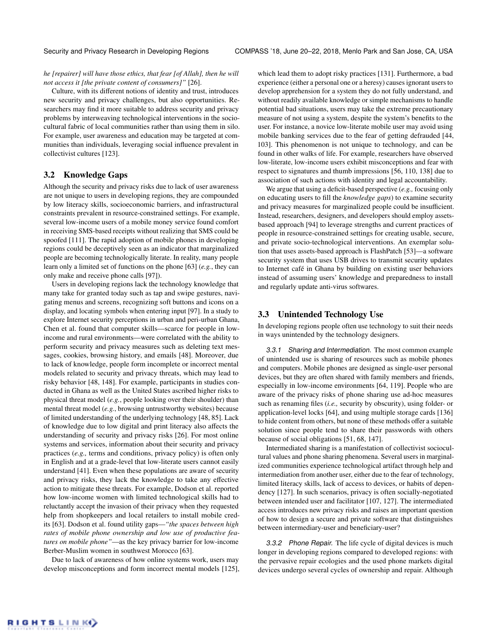*he [repairer] will have those ethics, that fear [of Allah], then he will not access it [the private content of consumers]"* [\[26\]](#page-10-1).

Culture, with its different notions of identity and trust, introduces new security and privacy challenges, but also opportunities. Researchers may find it more suitable to address security and privacy problems by interweaving technological interventions in the sociocultural fabric of local communities rather than using them in silo. For example, user awareness and education may be targeted at communities than individuals, leveraging social influence prevalent in collectivist cultures [\[123\]](#page-12-15).

#### 3.2 Knowledge Gaps

Although the security and privacy risks due to lack of user awareness are not unique to users in developing regions, they are compounded by low literacy skills, socioeconomic barriers, and infrastructural constraints prevalent in resource-constrained settings. For example, several low-income users of a mobile money service found comfort in receiving SMS-based receipts without realizing that SMS could be spoofed [\[111\]](#page-12-16). The rapid adoption of mobile phones in developing regions could be deceptively seen as an indicator that marginalized people are becoming technologically literate. In reality, many people learn only a limited set of functions on the phone [\[63\]](#page-11-13) (*e.g.*, they can only make and receive phone calls [\[97\]](#page-12-17)).

Users in developing regions lack the technology knowledge that many take for granted today such as tap and swipe gestures, navigating menus and screens, recognizing soft buttons and icons on a display, and locating symbols when entering input [\[97\]](#page-12-17). In a study to explore Internet security perceptions in urban and peri-urban Ghana, Chen et al. found that computer skills—scarce for people in lowincome and rural environments—were correlated with the ability to perform security and privacy measures such as deleting text messages, cookies, browsing history, and emails [\[48\]](#page-10-4). Moreover, due to lack of knowledge, people form incomplete or incorrect mental models related to security and privacy threats, which may lead to risky behavior [\[48,](#page-10-4) [148\]](#page-13-6). For example, participants in studies conducted in Ghana as well as the United States ascribed higher risks to physical threat model (*e.g.*, people looking over their shoulder) than mental threat model (*e.g.*, browsing untrustworthy websites) because of limited understanding of the underlying technology [\[48,](#page-10-4) [85\]](#page-11-15). Lack of knowledge due to low digital and print literacy also affects the understanding of security and privacy risks [\[26\]](#page-10-1). For most online systems and services, information about their security and privacy practices (*e.g.,* terms and conditions, privacy policy) is often only in English and at a grade-level that low-literate users cannot easily understand [\[41\]](#page-10-24). Even when these populations are aware of security and privacy risks, they lack the knowledge to take any effective action to mitigate these threats. For example, Dodson et al. reported how low-income women with limited technological skills had to reluctantly accept the invasion of their privacy when they requested help from shopkeepers and local retailers to install mobile credits [\[63\]](#page-11-13). Dodson et al. found utility gaps—*"the spaces between high rates of mobile phone ownership and low use of productive features on mobile phone"*—as the key privacy barrier for low-income Berber-Muslim women in southwest Morocco [\[63\]](#page-11-13).

Due to lack of awareness of how online systems work, users may develop misconceptions and form incorrect mental models [\[125\]](#page-12-10), which lead them to adopt risky practices [\[131\]](#page-13-7). Furthermore, a bad experience (either a personal one or a heresy) causes ignorant users to develop apprehension for a system they do not fully understand, and without readily available knowledge or simple mechanisms to handle potential bad situations, users may take the extreme precautionary measure of not using a system, despite the system's benefits to the user. For instance, a novice low-literate mobile user may avoid using mobile banking services due to the fear of getting defrauded [\[44,](#page-10-25) [103\]](#page-12-18). This phenomenon is not unique to technology, and can be found in other walks of life. For example, researchers have observed low-literate, low-income users exhibit misconceptions and fear with respect to signatures and thumb impressions [\[56,](#page-11-16) [110,](#page-12-11) [138\]](#page-13-8) due to association of such actions with identity and legal accountability.

We argue that using a deficit-based perspective (*e.g.,* focusing only on educating users to fill the *knowledge gaps*) to examine security and privacy measures for marginalized people could be insufficient. Instead, researchers, designers, and developers should employ assetsbased approach [\[94\]](#page-12-19) to leverage strengths and current practices of people in resource-constrained settings for creating usable, secure, and private socio-technological interventions. An exemplar solution that uses assets-based approach is FlashPatch [\[53\]](#page-11-17)—a software security system that uses USB drives to transmit security updates to Internet café in Ghana by building on existing user behaviors instead of assuming users' knowledge and preparedness to install and regularly update anti-virus softwares.

#### 3.3 Unintended Technology Use

In developing regions people often use technology to suit their needs in ways unintended by the technology designers.

3.3.1 Sharing and Intermediation. The most common example of unintended use is sharing of resources such as mobile phones and computers. Mobile phones are designed as single-user personal devices, but they are often shared with family members and friends, especially in low-income environments [\[64,](#page-11-18) [119\]](#page-12-20). People who are aware of the privacy risks of phone sharing use ad-hoc measures such as renaming files (*i.e.,* security by obscurity), using folder- or application-level locks [\[64\]](#page-11-18), and using multiple storage cards [\[136\]](#page-13-2) to hide content from others, but none of these methods offer a suitable solution since people tend to share their passwords with others because of social obligations [\[51,](#page-11-11) [68,](#page-11-9) [147\]](#page-13-9).

Intermediated sharing is a manifestation of collectivist sociocultural values and phone sharing phenomena. Several users in marginalized communities experience technological artifact through help and intermediation from another user, either due to the fear of technology, limited literacy skills, lack of access to devices, or habits of dependency [\[127\]](#page-12-2). In such scenarios, privacy is often socially-negotiated between intended user and facilitator [\[107,](#page-12-1) [127\]](#page-12-2). The intermediated access introduces new privacy risks and raises an important question of how to design a secure and private software that distinguishes between intermediary-user and beneficiary-user?

3.3.2 Phone Repair. The life cycle of digital devices is much longer in developing regions compared to developed regions: with the pervasive repair ecologies and the used phone markets digital devices undergo several cycles of ownership and repair. Although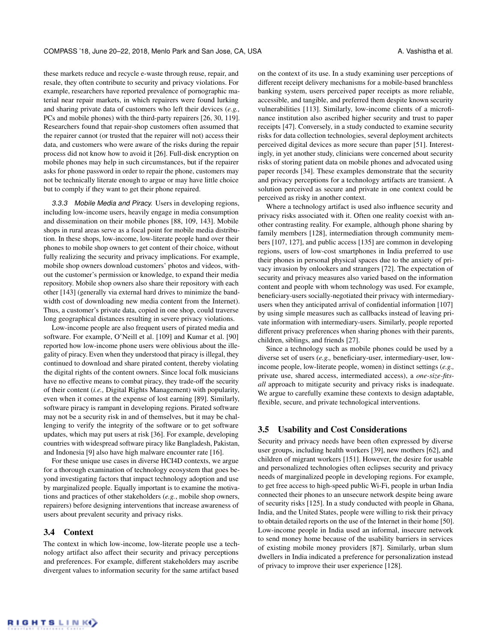these markets reduce and recycle e-waste through reuse, repair, and resale, they often contribute to security and privacy violations. For example, researchers have reported prevalence of pornographic material near repair markets, in which repairers were found lurking and sharing private data of customers who left their devices (*e.g.,* PCs and mobile phones) with the third-party repairers [\[26,](#page-10-1) [30,](#page-10-0) [119\]](#page-12-20). Researchers found that repair-shop customers often assumed that the repairer cannot (or trusted that the repairer will not) access their data, and customers who were aware of the risks during the repair process did not know how to avoid it [\[26\]](#page-10-1). Full-disk encryption on mobile phones may help in such circumstances, but if the repairer asks for phone password in order to repair the phone, customers may not be technically literate enough to argue or may have little choice but to comply if they want to get their phone repaired.

3.3.3 Mobile Media and Piracy. Users in developing regions, including low-income users, heavily engage in media consumption and dissemination on their mobile phones [\[88,](#page-11-19) [109,](#page-12-21) [143\]](#page-13-10). Mobile shops in rural areas serve as a focal point for mobile media distribution. In these shops, low-income, low-literate people hand over their phones to mobile shop owners to get content of their choice, without fully realizing the security and privacy implications. For example, mobile shop owners download customers' photos and videos, without the customer's permission or knowledge, to expand their media repository. Mobile shop owners also share their repository with each other [\[143\]](#page-13-10) (generally via external hard drives to minimize the bandwidth cost of downloading new media content from the Internet). Thus, a customer's private data, copied in one shop, could traverse long geographical distances resulting in severe privacy violations.

Low-income people are also frequent users of pirated media and software. For example, O'Neill et al. [\[109\]](#page-12-21) and Kumar et al. [\[90\]](#page-12-22) reported how low-income phone users were oblivious about the illegality of piracy. Even when they understood that piracy is illegal, they continued to download and share pirated content, thereby violating the digital rights of the content owners. Since local folk musicians have no effective means to combat piracy, they trade-off the security of their content (*i.e.,* Digital Rights Management) with popularity, even when it comes at the expense of lost earning [\[89\]](#page-11-20). Similarly, software piracy is rampant in developing regions. Pirated software may not be a security risk in and of themselves, but it may be challenging to verify the integrity of the software or to get software updates, which may put users at risk [\[36\]](#page-10-3). For example, developing countries with widespread software piracy like Bangladesh, Pakistan, and Indonesia [\[9\]](#page-10-26) also have high malware encounter rate [\[16\]](#page-10-6).

For these unique use cases in diverse HCI4D contexts, we argue for a thorough examination of technology ecosystem that goes beyond investigating factors that impact technology adoption and use by marginalized people. Equally important is to examine the motivations and practices of other stakeholders (*e.g.*, mobile shop owners, repairers) before designing interventions that increase awareness of users about prevalent security and privacy risks.

#### 3.4 Context

The context in which low-income, low-literate people use a technology artifact also affect their security and privacy perceptions and preferences. For example, different stakeholders may ascribe divergent values to information security for the same artifact based

on the context of its use. In a study examining user perceptions of different receipt delivery mechanisms for a mobile-based branchless banking system, users perceived paper receipts as more reliable, accessible, and tangible, and preferred them despite known security vulnerabilities [\[113\]](#page-12-23). Similarly, low-income clients of a microfinance institution also ascribed higher security and trust to paper receipts [\[47\]](#page-10-27). Conversely, in a study conducted to examine security risks for data collection technologies, several deployment architects perceived digital devices as more secure than paper [\[51\]](#page-11-11). Interestingly, in yet another study, clinicians were concerned about security risks of storing patient data on mobile phones and advocated using paper records [\[34\]](#page-10-28). These examples demonstrate that the security and privacy perceptions for a technology artifacts are transient. A solution perceived as secure and private in one context could be perceived as risky in another context.

Where a technology artifact is used also influence security and privacy risks associated with it. Often one reality coexist with another contrasting reality. For example, although phone sharing by family members [\[128\]](#page-12-8), intermediation through community members [\[107,](#page-12-1) [127\]](#page-12-2), and public access [\[135\]](#page-13-11) are common in developing regions, users of low-cost smartphones in India preferred to use their phones in personal physical spaces due to the anxiety of privacy invasion by onlookers and strangers [\[72\]](#page-11-21). The expectation of security and privacy measures also varied based on the information content and people with whom technology was used. For example, beneficiary-users socially-negotiated their privacy with intermediaryusers when they anticipated arrival of confidential information [\[107\]](#page-12-1) by using simple measures such as callbacks instead of leaving private information with intermediary-users. Similarly, people reported different privacy preferences when sharing phones with their parents, children, siblings, and friends [\[27\]](#page-10-19).

Since a technology such as mobile phones could be used by a diverse set of users (*e.g.,* beneficiary-user, intermediary-user, lowincome people, low-literate people, women) in distinct settings (*e.g.,* private use, shared access, intermediated access), a *one-size-fitsall* approach to mitigate security and privacy risks is inadequate. We argue to carefully examine these contexts to design adaptable, flexible, secure, and private technological interventions.

### 3.5 Usability and Cost Considerations

Security and privacy needs have been often expressed by diverse user groups, including health workers [\[39\]](#page-10-29), new mothers [\[62\]](#page-11-22), and children of migrant workers [\[151\]](#page-13-12). However, the desire for usable and personalized technologies often eclipses security and privacy needs of marginalized people in developing regions. For example, to get free access to high-speed public Wi-Fi, people in urban India connected their phones to an unsecure network despite being aware of security risks [\[125\]](#page-12-10). In a study conducted with people in Ghana, India, and the United States, people were willing to risk their privacy to obtain detailed reports on the use of the Internet in their home [\[50\]](#page-11-23). Low-income people in India used an informal, insecure network to send money home because of the usability barriers in services of existing mobile money providers [\[87\]](#page-11-24). Similarly, urban slum dwellers in India indicated a preference for personalization instead of privacy to improve their user experience [\[128\]](#page-12-8).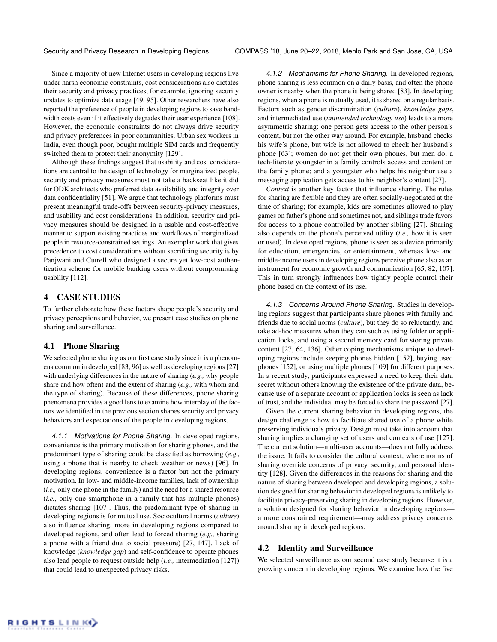Since a majority of new Internet users in developing regions live under harsh economic constraints, cost considerations also dictates their security and privacy practices, for example, ignoring security updates to optimize data usage [\[49,](#page-10-30) [95\]](#page-12-24). Other researchers have also reported the preference of people in developing regions to save bandwidth costs even if it effectively degrades their user experience [\[108\]](#page-12-25). However, the economic constraints do not always drive security and privacy preferences in poor communities. Urban sex workers in India, even though poor, bought multiple SIM cards and frequently switched them to protect their anonymity [\[129\]](#page-13-13).

Although these findings suggest that usability and cost considerations are central to the design of technology for marginalized people, security and privacy measures must not take a backseat like it did for ODK architects who preferred data availability and integrity over data confidentiality [\[51\]](#page-11-11). We argue that technology platforms must present meaningful trade-offs between security-privacy measures, and usability and cost considerations. In addition, security and privacy measures should be designed in a usable and cost-effective manner to support existing practices and workflows of marginalized people in resource-constrained settings. An exemplar work that gives precedence to cost considerations without sacrificing security is by Panjwani and Cutrell who designed a secure yet low-cost authentication scheme for mobile banking users without compromising usability [\[112\]](#page-12-26).

# 4 CASE STUDIES

To further elaborate how these factors shape people's security and privacy perceptions and behavior, we present case studies on phone sharing and surveillance.

### 4.1 Phone Sharing

We selected phone sharing as our first case study since it is a phenomena common in developed [\[83,](#page-11-25) [96\]](#page-12-27) as well as developing regions [\[27\]](#page-10-19) with underlying differences in the nature of sharing (*e.g.,* why people share and how often) and the extent of sharing (*e.g.,* with whom and the type of sharing). Because of these differences, phone sharing phenomena provides a good lens to examine how interplay of the factors we identified in the previous section shapes security and privacy behaviors and expectations of the people in developing regions.

4.1.1 Motivations for Phone Sharing. In developed regions, convenience is the primary motivation for sharing phones, and the predominant type of sharing could be classified as borrowing (*e.g.,* using a phone that is nearby to check weather or news) [\[96\]](#page-12-27). In developing regions, convenience is a factor but not the primary motivation. In low- and middle-income families, lack of ownership (*i.e.,* only one phone in the family) and the need for a shared resource (*i.e.,* only one smartphone in a family that has multiple phones) dictates sharing [\[107\]](#page-12-1). Thus, the predominant type of sharing in developing regions is for mutual use. Sociocultural norms (*culture*) also influence sharing, more in developing regions compared to developed regions, and often lead to forced sharing (*e.g.,* sharing a phone with a friend due to social pressure) [\[27,](#page-10-19) [147\]](#page-13-9). Lack of knowledge (*knowledge gap*) and self-confidence to operate phones also lead people to request outside help (*i.e.,* intermediation [\[127\]](#page-12-2)) that could lead to unexpected privacy risks.

4.1.2 Mechanisms for Phone Sharing. In developed regions, phone sharing is less common on a daily basis, and often the phone owner is nearby when the phone is being shared [\[83\]](#page-11-25). In developing regions, when a phone is mutually used, it is shared on a regular basis. Factors such as gender discrimination (*culture*), *knowledge gaps*, and intermediated use (*unintended technology use*) leads to a more asymmetric sharing: one person gets access to the other person's content, but not the other way around. For example, husband checks his wife's phone, but wife is not allowed to check her husband's phone [\[63\]](#page-11-13); women do not get their own phones, but men do; a tech-literate youngster in a family controls access and content on the family phone; and a youngster who helps his neighbor use a messaging application gets access to his neighbor's content [\[27\]](#page-10-19).

*Context* is another key factor that influence sharing. The rules for sharing are flexible and they are often socially-negotiated at the time of sharing; for example, kids are sometimes allowed to play games on father's phone and sometimes not, and siblings trade favors for access to a phone controlled by another sibling [\[27\]](#page-10-19). Sharing also depends on the phone's perceived utility (*i.e.,* how it is seen or used). In developed regions, phone is seen as a device primarily for education, emergencies, or entertainment, whereas low- and middle-income users in developing regions perceive phone also as an instrument for economic growth and communication [\[65,](#page-11-26) [82,](#page-11-27) [107\]](#page-12-1). This in turn strongly influences how tightly people control their phone based on the context of its use.

4.1.3 Concerns Around Phone Sharing. Studies in developing regions suggest that participants share phones with family and friends due to social norms (*culture*), but they do so reluctantly, and take ad-hoc measures when they can such as using folder or application locks, and using a second memory card for storing private content [\[27,](#page-10-19) [64,](#page-11-18) [136\]](#page-13-2). Other coping mechanisms unique to developing regions include keeping phones hidden [\[152\]](#page-13-14), buying used phones [\[152\]](#page-13-14), or using multiple phones [\[109\]](#page-12-21) for different purposes. In a recent study, participants expressed a need to keep their data secret without others knowing the existence of the private data, because use of a separate account or application locks is seen as lack of trust, and the individual may be forced to share the password [\[27\]](#page-10-19).

Given the current sharing behavior in developing regions, the design challenge is how to facilitate shared use of a phone while preserving individuals privacy. Design must take into account that sharing implies a changing set of users and contexts of use [\[127\]](#page-12-2). The current solution—multi-user accounts—does not fully address the issue. It fails to consider the cultural context, where norms of sharing override concerns of privacy, security, and personal identity [\[128\]](#page-12-8). Given the differences in the reasons for sharing and the nature of sharing between developed and developing regions, a solution designed for sharing behavior in developed regions is unlikely to facilitate privacy-preserving sharing in developing regions. However, a solution designed for sharing behavior in developing regions a more constrained requirement—may address privacy concerns around sharing in developed regions.

# 4.2 Identity and Surveillance

We selected surveillance as our second case study because it is a growing concern in developing regions. We examine how the five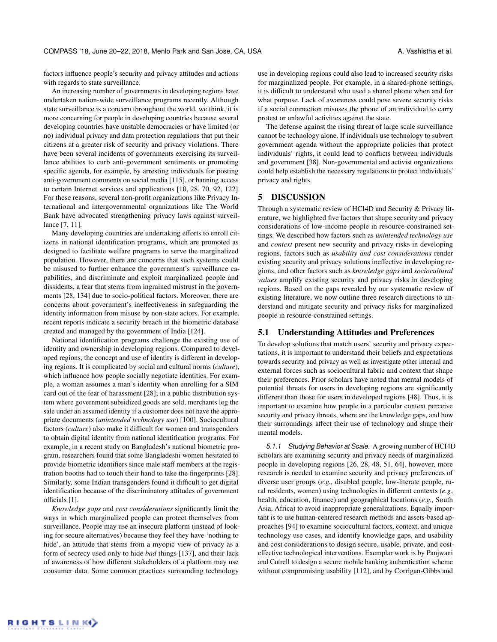factors influence people's security and privacy attitudes and actions with regards to state surveillance.

An increasing number of governments in developing regions have undertaken nation-wide surveillance programs recently. Although state surveillance is a concern throughout the world, we think, it is more concerning for people in developing countries because several developing countries have unstable democracies or have limited (or no) individual privacy and data protection regulations that put their citizens at a greater risk of security and privacy violations. There have been several incidents of governments exercising its surveillance abilities to curb anti-government sentiments or promoting specific agenda, for example, by arresting individuals for posting anti-government comments on social media [\[115\]](#page-12-28), or banning access to certain Internet services and applications [\[10,](#page-10-31) [28,](#page-10-2) [70,](#page-11-28) [92,](#page-12-29) [122\]](#page-12-30). For these reasons, several non-profit organizations like Privacy International and intergovernmental organizations like The World Bank have advocated strengthening privacy laws against surveillance [\[7,](#page-10-7) [11\]](#page-10-8).

Many developing countries are undertaking efforts to enroll citizens in national identification programs, which are promoted as designed to facilitate welfare programs to serve the marginalized population. However, there are concerns that such systems could be misused to further enhance the government's surveillance capabilities, and discriminate and exploit marginalized people and dissidents, a fear that stems from ingrained mistrust in the governments [\[28,](#page-10-2) [134\]](#page-13-15) due to socio-political factors. Moreover, there are concerns about government's ineffectiveness in safeguarding the identity information from misuse by non-state actors. For example, recent reports indicate a security breach in the biometric database created and managed by the government of India [\[124\]](#page-12-31).

National identification programs challenge the existing use of identity and ownership in developing regions. Compared to developed regions, the concept and use of identity is different in developing regions. It is complicated by social and cultural norms (*culture*), which influence how people socially negotiate identities. For example, a woman assumes a man's identity when enrolling for a SIM card out of the fear of harassment [\[28\]](#page-10-2); in a public distribution system where government subsidized goods are sold, merchants log the sale under an assumed identity if a customer does not have the appropriate documents (*unintended technology use*) [\[100\]](#page-12-32). Sociocultural factors (*culture*) also make it difficult for women and transgenders to obtain digital identity from national identification programs. For example, in a recent study on Bangladesh's national biometric program, researchers found that some Bangladeshi women hesitated to provide biometric identifiers since male staff members at the registration booths had to touch their hand to take the fingerprints [\[28\]](#page-10-2). Similarly, some Indian transgenders found it difficult to get digital identification because of the discriminatory attitudes of government officials [\[1\]](#page-9-0).

*Knowledge gaps* and *cost considerations* significantly limit the ways in which marginalized people can protect themselves from surveillance. People may use an insecure platform (instead of looking for secure alternatives) because they feel they have 'nothing to hide', an attitude that stems from a myopic view of privacy as a form of secrecy used only to hide *bad* things [\[137\]](#page-13-16), and their lack of awareness of how different stakeholders of a platform may use consumer data. Some common practices surrounding technology

use in developing regions could also lead to increased security risks for marginalized people. For example, in a shared-phone settings, it is difficult to understand who used a shared phone when and for what purpose. Lack of awareness could pose severe security risks if a social connection misuses the phone of an individual to carry protest or unlawful activities against the state.

The defense against the rising threat of large scale surveillance cannot be technology alone. If individuals use technology to subvert government agenda without the appropriate policies that protect individuals' rights, it could lead to conflicts between individuals and government [\[38\]](#page-10-32). Non-governmental and activist organizations could help establish the necessary regulations to protect individuals' privacy and rights.

# 5 DISCUSSION

Through a systematic review of HCI4D and Security & Privacy literature, we highlighted five factors that shape security and privacy considerations of low-income people in resource-constrained settings. We described how factors such as *unintended technology use* and *context* present new security and privacy risks in developing regions, factors such as *usability and cost considerations* render existing security and privacy solutions ineffective in developing regions, and other factors such as *knowledge gaps* and *sociocultural values* amplify existing security and privacy risks in developing regions. Based on the gaps revealed by our systematic review of existing literature, we now outline three research directions to understand and mitigate security and privacy risks for marginalized people in resource-constrained settings.

#### 5.1 Understanding Attitudes and Preferences

To develop solutions that match users' security and privacy expectations, it is important to understand their beliefs and expectations towards security and privacy as well as investigate other internal and external forces such as sociocultural fabric and context that shape their preferences. Prior scholars have noted that mental models of potential threats for users in developing regions are significantly different than those for users in developed regions [\[48\]](#page-10-4). Thus, it is important to examine how people in a particular context perceive security and privacy threats, where are the knowledge gaps, and how their surroundings affect their use of technology and shape their mental models.

5.1.1 Studying Behavior at Scale. A growing number of HCI4D scholars are examining security and privacy needs of marginalized people in developing regions [\[26,](#page-10-1) [28,](#page-10-2) [48,](#page-10-4) [51,](#page-11-11) [64\]](#page-11-18), however, more research is needed to examine security and privacy preferences of diverse user groups (*e.g.,* disabled people, low-literate people, rural residents, women) using technologies in different contexts (*e.g.,* health, education, finance) and geographical locations (*e.g.,* South Asia, Africa) to avoid inappropriate generalizations. Equally important is to use human-centered research methods and assets-based approaches [\[94\]](#page-12-19) to examine sociocultural factors, context, and unique technology use cases, and identify knowledge gaps, and usability and cost considerations to design secure, usable, private, and costeffective technological interventions. Exemplar work is by Panjwani and Cutrell to design a secure mobile banking authentication scheme without compromising usability [\[112\]](#page-12-26), and by Corrigan-Gibbs and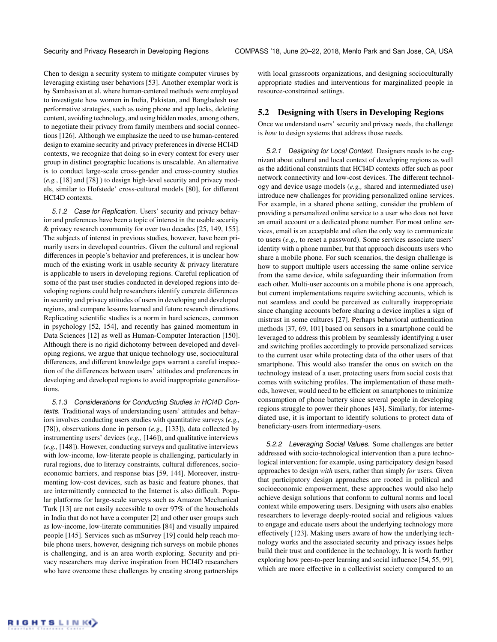Chen to design a security system to mitigate computer viruses by leveraging existing user behaviors [\[53\]](#page-11-17). Another exemplar work is by Sambasivan et al. where human-centered methods were employed to investigate how women in India, Pakistan, and Bangladesh use performative strategies, such as using phone and app locks, deleting content, avoiding technology, and using hidden modes, among others, to negotiate their privacy from family members and social connections [\[126\]](#page-12-33). Although we emphasize the need to use human-centered design to examine security and privacy preferences in diverse HCI4D contexts, we recognize that doing so in every context for every user group in distinct geographic locations is unscalable. An alternative is to conduct large-scale cross-gender and cross-country studies (*e.g.*, [\[18\]](#page-10-33) and [\[78\]](#page-11-6) ) to design high-level security and privacy models, similar to Hofstede' cross-cultural models [\[80\]](#page-11-7), for different HCI4D contexts.

5.1.2 Case for Replication. Users' security and privacy behavior and preferences have been a topic of interest in the usable security & privacy research community for over two decades [\[25,](#page-10-34) [149,](#page-13-17) [155\]](#page-13-18). The subjects of interest in previous studies, however, have been primarily users in developed countries. Given the cultural and regional differences in people's behavior and preferences, it is unclear how much of the existing work in usable security & privacy literature is applicable to users in developing regions. Careful replication of some of the past user studies conducted in developed regions into developing regions could help researchers identify concrete differences in security and privacy attitudes of users in developing and developed regions, and compare lessons learned and future research directions. Replicating scientific studies is a norm in hard sciences, common in psychology [\[52,](#page-11-29) [154\]](#page-13-19), and recently has gained momentum in Data Sciences [\[12\]](#page-10-35) as well as Human-Computer Interaction [\[150\]](#page-13-20). Although there is no rigid dichotomy between developed and developing regions, we argue that unique technology use, sociocultural differences, and different knowledge gaps warrant a careful inspection of the differences between users' attitudes and preferences in developing and developed regions to avoid inappropriate generalizations.

5.1.3 Considerations for Conducting Studies in HCI4D Contexts. Traditional ways of understanding users' attitudes and behaviors involves conducting users studies with quantitative surveys (*e.g.,* [\[78\]](#page-11-6)), observations done in person (*e.g.,* [\[133\]](#page-13-21)), data collected by instrumenting users' devices (*e.g.,* [\[146\]](#page-13-22)), and qualitative interviews (*e.g.,* [\[148\]](#page-13-6)). However, conducting surveys and qualitative interviews with low-income, low-literate people is challenging, particularly in rural regions, due to literacy constraints, cultural differences, socioeconomic barriers, and response bias [\[59,](#page-11-30) [144\]](#page-13-23). Moreover, instrumenting low-cost devices, such as basic and feature phones, that are intermittently connected to the Internet is also difficult. Popular platforms for large-scale surveys such as Amazon Mechanical Turk [\[13\]](#page-10-36) are not easily accessible to over 97% of the households in India that do not have a computer [\[2\]](#page-9-1) and other user groups such as low-income, low-literate communities [\[84\]](#page-11-31) and visually impaired people [\[145\]](#page-13-24). Services such as mSurvey [\[19\]](#page-10-37) could help reach mobile phone users, however, designing rich surveys on mobile phones is challenging, and is an area worth exploring. Security and privacy researchers may derive inspiration from HCI4D researchers who have overcome these challenges by creating strong partnerships

with local grassroots organizations, and designing socioculturally appropriate studies and interventions for marginalized people in resource-constrained settings.

#### 5.2 Designing with Users in Developing Regions

Once we understand users' security and privacy needs, the challenge is *how* to design systems that address those needs.

5.2.1 Designing for Local Context. Designers needs to be cognizant about cultural and local context of developing regions as well as the additional constraints that HCI4D contexts offer such as poor network connectivity and low-cost devices. The different technology and device usage models (*e.g.,* shared and intermediated use) introduce new challenges for providing personalized online services. For example, in a shared phone setting, consider the problem of providing a personalized online service to a user who does not have an email account or a dedicated phone number. For most online services, email is an acceptable and often the only way to communicate to users (*e.g.,* to reset a password). Some services associate users' identity with a phone number, but that approach discounts users who share a mobile phone. For such scenarios, the design challenge is how to support multiple users accessing the same online service from the same device, while safeguarding their information from each other. Multi-user accounts on a mobile phone is one approach, but current implementations require switching accounts, which is not seamless and could be perceived as culturally inappropriate since changing accounts before sharing a device implies a sign of mistrust in some cultures [\[27\]](#page-10-19). Perhaps behavioral authentication methods [\[37,](#page-10-38) [69,](#page-11-32) [101\]](#page-12-34) based on sensors in a smartphone could be leveraged to address this problem by seamlessly identifying a user and switching profiles accordingly to provide personalized services to the current user while protecting data of the other users of that smartphone. This would also transfer the onus on switch on the technology instead of a user, protecting users from social costs that comes with switching profiles. The implementation of these methods, however, would need to be efficient on smartphones to minimize consumption of phone battery since several people in developing regions struggle to power their phones [\[43\]](#page-10-39). Similarly, for intermediated use, it is important to identify solutions to protect data of beneficiary-users from intermediary-users.

5.2.2 Leveraging Social Values. Some challenges are better addressed with socio-technological intervention than a pure technological intervention; for example, using participatory design based approaches to design *with* users, rather than simply *for* users. Given that participatory design approaches are rooted in political and socioeconomic empowerment, these approaches would also help achieve design solutions that conform to cultural norms and local context while empowering users. Designing with users also enables researchers to leverage deeply-rooted social and religious values to engage and educate users about the underlying technology more effectively [\[123\]](#page-12-15). Making users aware of how the underlying technology works and the associated security and privacy issues helps build their trust and confidence in the technology. It is worth further exploring how peer-to-peer learning and social influence [\[54,](#page-11-33) [55,](#page-11-34) [99\]](#page-12-35), which are more effective in a collectivist society compared to an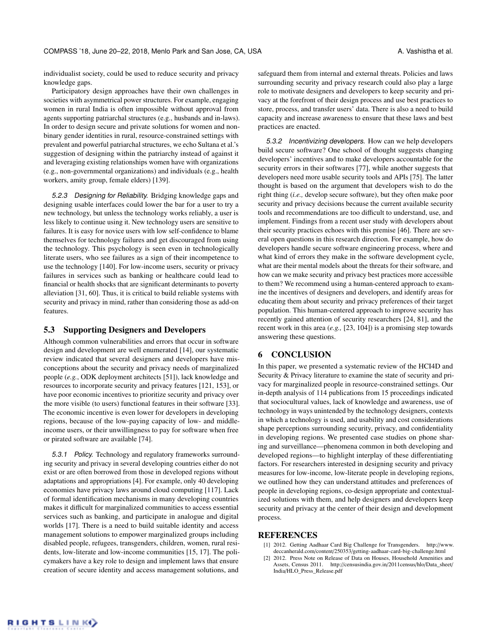individualist society, could be used to reduce security and privacy knowledge gaps.

Participatory design approaches have their own challenges in societies with asymmetrical power structures. For example, engaging women in rural India is often impossible without approval from agents supporting patriarchal structures (e.g., husbands and in-laws). In order to design secure and private solutions for women and nonbinary gender identities in rural, resource-constrained settings with prevalent and powerful patriarchal structures, we echo Sultana et al.'s suggestion of designing within the patriarchy instead of against it and leveraging existing relationships women have with organizations (e.g., non-governmental organizations) and individuals (e.g., health workers, amity group, female elders) [\[139\]](#page-13-25).

5.2.3 Designing for Reliability. Bridging knowledge gaps and designing usable interfaces could lower the bar for a user to try a new technology, but unless the technology works reliably, a user is less likely to continue using it. New technology users are sensitive to failures. It is easy for novice users with low self-confidence to blame themselves for technology failures and get discouraged from using the technology. This psychology is seen even in technologically literate users, who see failures as a sign of their incompetence to use the technology [\[140\]](#page-13-26). For low-income users, security or privacy failures in services such as banking or healthcare could lead to financial or health shocks that are significant determinants to poverty alleviation [\[31,](#page-10-40) [60\]](#page-11-35). Thus, it is critical to build reliable systems with security and privacy in mind, rather than considering those as add-on features.

# 5.3 Supporting Designers and Developers

Although common vulnerabilities and errors that occur in software design and development are well enumerated [\[14\]](#page-10-41), our systematic review indicated that several designers and developers have misconceptions about the security and privacy needs of marginalized people (*e.g.*, ODK deployment architects [\[51\]](#page-11-11)), lack knowledge and resources to incorporate security and privacy features [\[121,](#page-12-36) [153\]](#page-13-27), or have poor economic incentives to prioritize security and privacy over the more visible (to users) functional features in their software [\[33\]](#page-10-42). The economic incentive is even lower for developers in developing regions, because of the low-paying capacity of low- and middleincome users, or their unwillingness to pay for software when free or pirated software are available [\[74\]](#page-11-36).

5.3.1 Policy. Technology and regulatory frameworks surrounding security and privacy in several developing countries either do not exist or are often borrowed from those in developed regions without adaptations and appropriations [\[4\]](#page-10-43). For example, only 40 developing economies have privacy laws around cloud computing [\[117\]](#page-12-37). Lack of formal identification mechanisms in many developing countries makes it difficult for marginalized communities to access essential services such as banking, and participate in analogue and digital worlds [\[17\]](#page-10-14). There is a need to build suitable identity and access management solutions to empower marginalized groups including disabled people, refugees, transgenders, children, women, rural residents, low-literate and low-income communities [\[15,](#page-10-13) [17\]](#page-10-14). The policymakers have a key role to design and implement laws that ensure creation of secure identity and access management solutions, and

safeguard them from internal and external threats. Policies and laws surrounding security and privacy research could also play a large role to motivate designers and developers to keep security and privacy at the forefront of their design process and use best practices to store, process, and transfer users' data. There is also a need to build capacity and increase awareness to ensure that these laws and best practices are enacted.

5.3.2 Incentivizing developers. How can we help developers build secure software? One school of thought suggests changing developers' incentives and to make developers accountable for the security errors in their softwares [\[77\]](#page-11-37), while another suggests that developers need more usable security tools and APIs [\[75\]](#page-11-38). The latter thought is based on the argument that developers wish to do the right thing (*i.e.,* develop secure software), but they often make poor security and privacy decisions because the current available security tools and recommendations are too difficult to understand, use, and implement. Findings from a recent user study with developers about their security practices echoes with this premise [\[46\]](#page-10-44). There are several open questions in this research direction. For example, how do developers handle secure software engineering process, where and what kind of errors they make in the software development cycle, what are their mental models about the threats for their software, and how can we make security and privacy best practices more accessible to them? We recommend using a human-centered approach to examine the incentives of designers and developers, and identify areas for educating them about security and privacy preferences of their target population. This human-centered approach to improve security has recently gained attention of security researchers [\[24,](#page-10-45) [81\]](#page-11-39), and the recent work in this area (*e.g.,* [\[23,](#page-10-46) [104\]](#page-12-38)) is a promising step towards answering these questions.

# 6 CONCLUSION

In this paper, we presented a systematic review of the HCI4D and Security & Privacy literature to examine the state of security and privacy for marginalized people in resource-constrained settings. Our in-depth analysis of 114 publications from 15 proceedings indicated that sociocultural values, lack of knowledge and awareness, use of technology in ways unintended by the technology designers, contexts in which a technology is used, and usability and cost considerations shape perceptions surrounding security, privacy, and confidentiality in developing regions. We presented case studies on phone sharing and surveillance—phenomena common in both developing and developed regions—to highlight interplay of these differentiating factors. For researchers interested in designing security and privacy measures for low-income, low-literate people in developing regions, we outlined how they can understand attitudes and preferences of people in developing regions, co-design appropriate and contextualized solutions with them, and help designers and developers keep security and privacy at the center of their design and development process.

#### **REFERENCES**

- <span id="page-9-0"></span>[1] 2012. Getting Aadhaar Card Big Challenge for Transgenders. http://[www.](http://www.deccanherald.com/content/250353/getting-aadhaar-card-big-challenge.html) deccanherald.com/content/250353/[getting-aadhaar-card-big-challenge.html](http://www.deccanherald.com/content/250353/getting-aadhaar-card-big-challenge.html)
- <span id="page-9-1"></span>[2] 2012. Press Note on Release of Data on Houses, Household Amenities and Assets, Census 2011. http://[censusindia.gov.in](http://censusindia.gov.in/2011census/hlo/Data_sheet/India/HLO_Press_Release.pdf)/2011census/hlo/Data\_sheet/ India/[HLO\\_Press\\_Release.pdf](http://censusindia.gov.in/2011census/hlo/Data_sheet/India/HLO_Press_Release.pdf)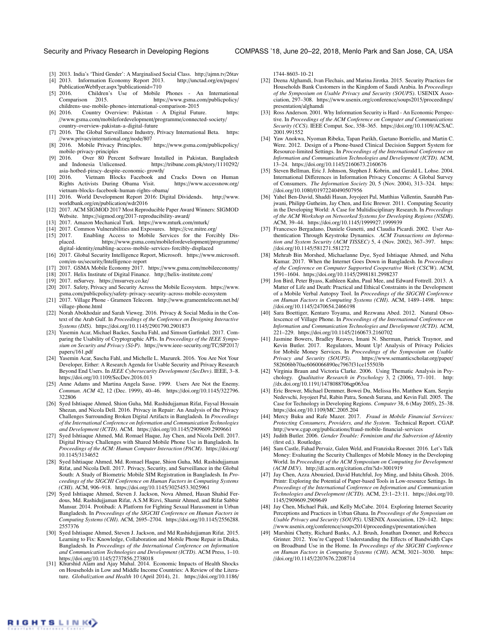- <span id="page-10-23"></span>[3] 2013. India's 'Third Gender': A Marginalised Social Class. http://[ajmn.tv](http://ajmn.tv/26tav)/26tav
- <span id="page-10-43"></span>2013. Information Economy Report 2013. [PublicationWebflyer.aspx?publicationid](http://unctad.org/en/pages/PublicationWebflyer.aspx?publicationid=710)=710<br>2016. Children's Use of Mobile
- <span id="page-10-9"></span>[5] 2016. Children's Use of Mobile Phones - An International https://[www.gsma.com](https://www.gsma.com/publicpolicy/childrens-use-mobile-phones-international-comparison-2015)/publicpolicy/ [childrens-use-mobile-phones-international-comparison-2015](https://www.gsma.com/publicpolicy/childrens-use-mobile-phones-international-comparison-2015)
- <span id="page-10-10"></span>[6] 2016. Country Overview: Pakistan - A Digital Future. [https:](https://www.gsma.com/mobilefordevelopment/programme/connected-society/country-overview-pakistan-a-digital-future) //www.gsma.com/[mobilefordevelopment](https://www.gsma.com/mobilefordevelopment/programme/connected-society/country-overview-pakistan-a-digital-future)/programme/connected-society/ [country-overview-pakistan-a-digital-future](https://www.gsma.com/mobilefordevelopment/programme/connected-society/country-overview-pakistan-a-digital-future)
- <span id="page-10-7"></span>[7] 2016. The Global Surveillance Industry, Privacy International Beta. [https:](https://www.privacyinternational.org/node/807) //[www.privacyinternational.org](https://www.privacyinternational.org/node/807)/node/807
- <span id="page-10-12"></span>[8] 2016. Mobile Privacy Principles. [mobile-privacy-principles](https://www.gsma.com/publicpolicy/mobile-privacy-principles)
- <span id="page-10-26"></span>2016. Over 80 Percent Software Installed in Pakistan, Bangladesh and Indonesia Unlicensed. https://tribune.com.pk/story/1110292/ https://[tribune.com.pk](https://tribune.com.pk/story/1110292/asia-hotbed-piracy-despite-economic-growth/)/story/1110292/ [asia-hotbed-piracy-despite-economic-growth](https://tribune.com.pk/story/1110292/asia-hotbed-piracy-despite-economic-growth/)/<br>[10] 2016. Vietnam Blocks Facebook and
- <span id="page-10-31"></span>Vietnam Blocks Facebook and Cracks Down on Human Rights Activists During Obama Visit. https://[www.accessnow.org](https://www.accessnow.org/vietnam-blocks-facebook-human-rights-obama/)/ [vietnam-blocks-facebook-human-rights-obama](https://www.accessnow.org/vietnam-blocks-facebook-human-rights-obama/)/
- <span id="page-10-8"></span>[11] 2016. World Development Report 2016: Digital Dividends. http://[www.](http://www.worldbank.org/en/publication/wdr2016) [worldbank.org](http://www.worldbank.org/en/publication/wdr2016)/en/publication/wdr2016
- <span id="page-10-35"></span>[12] 2017. ACM SIGMOD 2017 Most Reproducible Paper Award Winners: SIGMOD Website. https://sigmod.org/[2017-reproducibility-award](https://sigmod.org/2017-reproducibility-award/)/
- <span id="page-10-36"></span>[13] 2017. Amazon Mechanical Turk. https://[www.mturk.com](https://www.mturk.com/mturk/)/mturk/
- <span id="page-10-41"></span>[14] 2017. Common Vulnerabilities and Exposures. https://[cve.mitre.org](https://cve.mitre.org/)/
- <span id="page-10-13"></span>[15] 2017. Enabling Access to Mobile Services for the Forcibly Displaced. https://www.gsma.com/[mobilefordevelopment](https://www.gsma.com/mobilefordevelopment/programme/digital-identity/enabling-access-mobile-services-forcibly-displaced)/programme/ digital-identity/[enabling-access-mobile-services-forcibly-displaced](https://www.gsma.com/mobilefordevelopment/programme/digital-identity/enabling-access-mobile-services-forcibly-displaced)
- <span id="page-10-6"></span>[16] 2017. Global Security Intelligence Report, Microsoft. https://[www.microsoft.](https://www.microsoft.com/en-us/security/Intelligence-report) com/en-us/security/[Intelligence-report](https://www.microsoft.com/en-us/security/Intelligence-report)
- <span id="page-10-14"></span>[17] 2017. GSMA Mobile Economy 2017. https://www.gsma.com/[mobileeconomy](https://www.gsma.com/mobileeconomy/)/
- <span id="page-10-33"></span>[18] 2017. Helix Institute of Digital Finance. http://[helix-institute.com](http://helix-institute.com/)/
- <span id="page-10-37"></span>[19] 2017. mSurvey. https://[msurvey.co.ke](https://msurvey.co.ke/)/
- <span id="page-10-11"></span>[20] 2017. Safety, Privacy and Security Across the Mobile Ecosystem. [https:](https://www.gsma.com/publicpolicy/safety-privacy-security-across-mobile-ecosystem)//www.
- <span id="page-10-21"></span>gsma.com/publicpolicy/[safety-privacy-security-across-mobile-ecosystem](https://www.gsma.com/publicpolicy/safety-privacy-security-across-mobile-ecosystem) [21] 2017. Village Phone - Grameen Telecom. http://[www.grameentelecom.net.bd](http://www.grameentelecom.net.bd/village-phone.html)/ [village-phone.html](http://www.grameentelecom.net.bd/village-phone.html)
- <span id="page-10-17"></span>[22] Norah Abokhodair and Sarah Vieweg. 2016. Privacy & Social Media in the Context of the Arab Gulf. In *Proceedings of the Conference on Designing Interactive Systems (DIS)*. https://doi.org/10.1145/[2901790.2901873](https://doi.org/10.1145/2901790.2901873)
- <span id="page-10-46"></span>[23] Yasemin Acar, Michael Backes, Sascha Fahl, and Simson Garfinkel, 2017. Comparing the Usability of Cryptographic APIs. In *Proceedings of the IEEE Symposium on Security and Privacy (S*&*P)*. https://[www.ieee-security.org](https://www.ieee-security.org/TC/SP2017/papers/161.pdf)/TC/SP2017/ papers/[161.pdf](https://www.ieee-security.org/TC/SP2017/papers/161.pdf)
- <span id="page-10-45"></span>[24] Yasemin Acar, Sascha Fahl, and Michelle L. Mazurek. 2016. You Are Not Your Developer, Either: A Research Agenda for Usable Security and Privacy Research Beyond End Users. In *IEEE Cybersecurity Development (SecDev)*. IEEE, 3–8. https://doi.org/10.1109/[SecDev.2016.013](https://doi.org/10.1109/SecDev.2016.013)
- <span id="page-10-34"></span>[25] Anne Adams and Martina Angela Sasse. 1999. Users Are Not the Enemy. *Commun. ACM* 42, 12 (Dec. 1999), 40–46. https://doi.org/[10.1145](https://doi.org/10.1145/322796.322806)/322796. [322806](https://doi.org/10.1145/322796.322806)
- <span id="page-10-1"></span>[26] Syed Ishtiaque Ahmed, Shion Guha, Md. Rashidujjaman Rifat, Faysal Hossain Shezan, and Nicola Dell. 2016. Privacy in Repair: An Analysis of the Privacy Challenges Surrounding Broken Digital Artifacts in Bangladesh. In *Proceedings of the International Conference on Information and Communication Technologies and Development (ICTD)*. ACM. https://doi.org/10.1145/[2909609.2909661](https://doi.org/10.1145/2909609.2909661)
- <span id="page-10-19"></span>[27] Syed Ishtiaque Ahmed, Md. Romael Haque, Jay Chen, and Nicola Dell. 2017. Digital Privacy Challenges with Shared Mobile Phone Use in Bangladesh. In *Proceedings of the ACM: Human Computer Interaction (PACM)*. https://[doi.org](https://doi.org/10.1145/3134652)/ 10.1145/[3134652](https://doi.org/10.1145/3134652)
- <span id="page-10-2"></span>[28] Syed Ishtiaque Ahmed, Md. Romael Haque, Shion Guha, Md. Rashidujjaman Rifat, and Nicola Dell. 2017. Privacy, Security, and Surveillance in the Global South: A Study of Biometric Mobile SIM Registration in Bangladesh. In *Proceedings of the SIGCHI Conference on Human Factors in Computing Systems (CHI)*. ACM, 906–918. https://doi.org/10.1145/[3025453.3025961](https://doi.org/10.1145/3025453.3025961)
- <span id="page-10-15"></span>[29] Syed Ishtiaque Ahmed, Steven J. Jackson, Nova Ahmed, Hasan Shahid Ferdous, Md. Rashidujjaman Rifat, A.S.M Rizvi, Shamir Ahmed, and Rifat Sabbir Mansur. 2014. Protibadi: A Platform for Fighting Sexual Harassment in Urban Bangladesh. In *Proceedings of the SIGCHI Conference on Human Factors in Computing Systems (CHI)*. ACM, 2695–2704. https://doi.org/10.1145/[2556288.](https://doi.org/10.1145/2556288.2557376) [2557376](https://doi.org/10.1145/2556288.2557376)
- <span id="page-10-0"></span>[30] Syed Ishtiaque Ahmed, Steven J. Jackson, and Md Rashidujjaman Rifat. 2015. Learning to Fix: Knowledge, Collaboration and Mobile Phone Repair in Dhaka, Bangladesh. In *Proceedings of the International Conference on Information and Communication Technologies and Development (ICTD)*. ACM Press, 1–10.
- <span id="page-10-40"></span>https://doi.org/10.1145/[2737856.2738018](https://doi.org/10.1145/2737856.2738018) [31] Khurshid Alam and Ajay Mahal. 2014. Economic Impacts of Health Shocks on Households in Low and Middle Income Countries: A Review of the Literature. *Globalization and Health* 10 (April 2014), 21. https://doi.org/[10.1186](https://doi.org/10.1186/1744-8603-10-21)/

[1744-8603-10-21](https://doi.org/10.1186/1744-8603-10-21)

- <span id="page-10-18"></span>[32] Deena Alghamdi, Ivan Flechais, and Marina Jirotka. 2015. Security Practices for Households Bank Customers in the Kingdom of Saudi Arabia. In *Proceedings of the Symposium on Usable Privacy and Security (SOUPS)*. USENIX Association, 297–308. https://[www.usenix.org](https://www.usenix.org/conference/soups2015/proceedings/presentation/alghamdi)/conference/soups2015/proceedings/ [presentation](https://www.usenix.org/conference/soups2015/proceedings/presentation/alghamdi)/alghamdi
- <span id="page-10-42"></span>[33] Ross Anderson. 2001. Why Information Security is Hard - An Economic Perspective. In *Proceedings of the ACM Conference on Computer and Communications Security (CCS)*. IEEE Comput. Soc, 358–365. https://doi.org/10.1109/[ACSAC.](https://doi.org/10.1109/ACSAC.2001.991552) [2001.991552](https://doi.org/10.1109/ACSAC.2001.991552)
- <span id="page-10-28"></span>[34] Yaw Anokwa, Nyoman Ribeka, Tapan Parikh, Gaetano Borriello, and Martin C. Were. 2012. Design of a Phone-based Clinical Decision Support System for Resource-limited Settings. In *Proceedings of the International Conference on Information and Communication Technologies and Development (ICTD)*. ACM, 13–24. https://doi.org/10.1145/[2160673.2160676](https://doi.org/10.1145/2160673.2160676)
- <span id="page-10-16"></span>[35] Steven Bellman, Eric J. Johnson, Stephen J. Kobrin, and Gerald L. Lohse. 2004. International Differences in Information Privacy Concerns: A Global Survey of Consumers. *The Information Society* 20, 5 (Nov. 2004), 313–324. [https:](https://doi.org/10.1080/01972240490507956) //doi.org/10.1080/[01972240490507956](https://doi.org/10.1080/01972240490507956)
- <span id="page-10-3"></span>[36] Yahel Ben-David, Shaddi Hasan, Joyojeet Pal, Matthias Vallentin, Saurabh Panjwani, Philipp Gutheim, Jay Chen, and Eric Brewer. 2011. Computing Security in the Developing World: A Case for Multidisciplinary Research. In *Proceedings of the ACM Workshop on Networked Systems for Developing Regions (NSDR)*. ACM, 39–44. https://doi.org/10.1145/[1999927.1999939](https://doi.org/10.1145/1999927.1999939)
- <span id="page-10-38"></span>[37] Francesco Bergadano, Daniele Gunetti, and Claudia Picardi. 2002. User Authentication Through Keystroke Dynamics. *ACM Transactions on Information and System Security (ACM TISSEC)* 5, 4 (Nov. 2002), 367–397. [https:](https://doi.org/10.1145/581271.581272) //doi.org/10.1145/[581271.581272](https://doi.org/10.1145/581271.581272)
- <span id="page-10-32"></span>[38] Mehrab Bin Morshed, Michaelanne Dye, Syed Ishtiaque Ahmed, and Neha Kumar. 2017. When the Internet Goes Down in Bangladesh. In *Proceedings of the Conference on Computer Supported Cooperative Work (CSCW)*. ACM, 1591–1604. https://doi.org/10.1145/[2998181.2998237](https://doi.org/10.1145/2998181.2998237)
- <span id="page-10-29"></span>[39] Jon Bird, Peter Byass, Kathleen Kahn, Paul Mee, and Edward Fottrell. 2013. A Matter of Life and Death: Practical and Ethical Constraints in the Development of a Mobile Verbal Autopsy Tool. In *Proceedings of the SIGCHI Conference on Human Factors in Computing Systems (CHI)*. ACM, 1489–1498. [https:](https://doi.org/10.1145/2470654.2466198) //doi.org/10.1145/[2470654.2466198](https://doi.org/10.1145/2470654.2466198)
- <span id="page-10-22"></span>[40] Sara Boettiger, Kentaro Toyama, and Rezwana Abed. 2012. Natural Obsolescence of Village Phone. In *Proceedings of the International Conference on Information and Communication Technologies and Development (ICTD)*. ACM, 221–229. https://doi.org/10.1145/[2160673.2160702](https://doi.org/10.1145/2160673.2160702)
- <span id="page-10-24"></span>[41] Jasmine Bowers, Bradley Reaves, Imani N. Sherman, Patrick Traynor, and Kevin Butler. 2017. Regulators, Mount Up! Analysis of Privacy Policies for Mobile Money Services. In *Proceedings of the Symposium on Usable Privacy and Security (SOUPS)*. https://[www.semanticscholar.org](https://www.semanticscholar.org/paper/582606bb70ac6060066890ec7967f31ce155503b)/paper/ [582606bb70ac6060066890ec7967f31ce155503b](https://www.semanticscholar.org/paper/582606bb70ac6060066890ec7967f31ce155503b)
- <span id="page-10-5"></span>[42] Virginia Braun and Victoria Clarke. 2006. Using Thematic Analysis in Psychology. *Qualitative Research in Psychology* 3, 2 (2006), 77–101. [http:](http://dx.doi.org/10.1191/1478088706qp063oa) //dx.doi.org/10.1191/[1478088706qp063oa](http://dx.doi.org/10.1191/1478088706qp063oa)
- <span id="page-10-39"></span>[43] Eric Brewer, Michael Demmer, Bowei Du, Melissa Ho, Matthew Kam, Sergiu Nedevschi, Joyojeet Pal, Rabin Patra, Sonesh Surana, and Kevin Fall. 2005. The Case for Technology in Developing Regions. *Computer* 38, 6 (May 2005), 25–38. https://doi.org/10.1109/[MC.2005.204](https://doi.org/10.1109/MC.2005.204)
- <span id="page-10-25"></span>[44] Mercy Buku and Rafe Mazer. 2017. *Fraud in Mobile Financial Services: Protecting Consumers, Providers, and the System*. Technical Report. CGAP. http://www.cgap.org/publications/[fraud-mobile-financial-services](http://www.cgap.org/publications/fraud-mobile-financial-services)
- <span id="page-10-20"></span>[45] Judith Butler. 2006. *Gender Trouble: Feminism and the Subversion of Identity* (first ed.). Routledge.
- <span id="page-10-44"></span>[46] Sam Castle, Fahad Pervaiz, Galen Weld, and Franziska Roesner. 2016. Let's Talk Money: Evaluating the Security Challenges of Mobile Money in the Developing World. In *Proceedings of the ACM Symposium on Computing for Development (ACM DEV)*. http://dl.acm.org/[citation.cfm?id](http://dl.acm.org/citation.cfm?id=3001919)=3001919
- <span id="page-10-27"></span>[47] Jay Chen, Azza Abouzied, David Hutchful, Joy Ming, and Ishita Ghosh. 2016. Printr: Exploring the Potential of Paper-based Tools in Low-resource Settings. In *Proceedings of the International Conference on Information and Communication Technologies and Development (ICTD)*. ACM, 23:1–23:11. https://[doi.org](https://doi.org/10.1145/2909609.2909649)/10. 1145/[2909609.2909649](https://doi.org/10.1145/2909609.2909649)
- <span id="page-10-4"></span>[48] Jay Chen, Michael Paik, and Kelly McCabe. 2014. Exploring Internet Security Perceptions and Practices in Urban Ghana. In *Proceedings of the Symposium on Usable Privacy and Security (SOUPS)*. USENIX Association, 129–142. [https:](https://www.usenix.org/conference/soups2014/proceedings/presentation/chen) //[www.usenix.org](https://www.usenix.org/conference/soups2014/proceedings/presentation/chen)/conference/soups2014/proceedings/presentation/chen
- <span id="page-10-30"></span>[49] Marshini Chetty, Richard Banks, A.J. Brush, Jonathan Donner, and Rebecca Grinter. 2012. You're Capped: Understanding the Effects of Bandwidth Caps on Broadband Use in the Home. In *Proceedings of the SIGCHI Conference on Human Factors in Computing Systems (CHI)*. ACM, 3021–3030. [https:](https://doi.org/10.1145/2207676.2208714) //doi.org/10.1145/[2207676.2208714](https://doi.org/10.1145/2207676.2208714)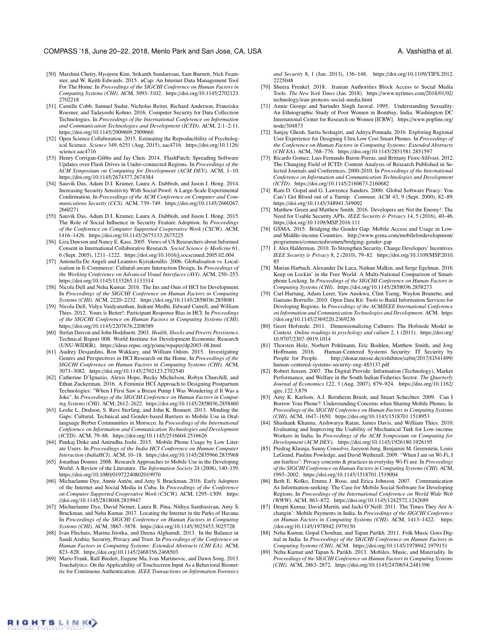- <span id="page-11-23"></span>[50] Marshini Chetty, Hyojoon Kim, Srikanth Sundaresan, Sam Burnett, Nick Feamster, and W. Keith Edwards. 2015. uCap: An Internet Data Management Tool For The Home. In *Proceedings of the SIGCHI Conference on Human Factors in Computing Systems (CHI)*. ACM, 3093–3102. https://doi.org/10.1145/[2702123.](https://doi.org/10.1145/2702123.2702218) [2702218](https://doi.org/10.1145/2702123.2702218)
- <span id="page-11-11"></span>[51] Camille Cobb, Samuel Sudar, Nicholas Reiter, Richard Anderson, Franziska Roesner, and Tadayoshi Kohno. 2016. Computer Security for Data Collection Technologies. In *Proceedings of the International Conference on Information and Communication Technologies and Development (ICTD)*. ACM, 2:1–2:11. https://doi.org/10.1145/[2909609.2909660](https://doi.org/10.1145/2909609.2909660)
- <span id="page-11-29"></span>[52] Open Science Collaboration. 2015. Estimating the Reproducibility of Psychological Science. *Science* 349, 6251 (Aug. 2015), aac4716. https://doi.org/[10.1126](https://doi.org/10.1126/science.aac4716)/ [science.aac4716](https://doi.org/10.1126/science.aac4716)
- <span id="page-11-17"></span>[53] Henry Corrigan-Gibbs and Jay Chen. 2014. FlashPatch: Spreading Software Updates over Flash Drives in Under-connected Regions. In *Proceedings of the ACM Symposium on Computing for Development (ACM DEV)*. ACM, 1–10. https://doi.org/10.1145/[2674377.2674384](https://doi.org/10.1145/2674377.2674384)
- <span id="page-11-33"></span>[54] Sauvik Das, Adam D.I. Kramer, Laura A. Dabbish, and Jason I. Hong. 2014. Increasing Security Sensitivity With Social Proof: A Large-Scale Experimental Confirmation. In *Proceedings of the ACM Conference on Computer and Communications Security (CCS)*. ACM, 739–749. https://doi.org/10.1145/[2660267.](https://doi.org/10.1145/2660267.2660271) [2660271](https://doi.org/10.1145/2660267.2660271)
- <span id="page-11-34"></span>[55] Sauvik Das, Adam D.I. Kramer, Laura A. Dabbish, and Jason I. Hong. 2015. The Role of Social Influence in Security Feature Adoption. In *Proceedings of the Conference on Computer Supported Cooperative Work (CSCW)*. ACM, 1416–1426. https://doi.org/10.1145/[2675133.2675225](https://doi.org/10.1145/2675133.2675225)
- <span id="page-11-16"></span>[56] Liza Dawson and Nancy E. Kass. 2005. Views of US Researchers about Informed Consent in International Collaborative Research. *Social Science* & *Medicine* 61, 6 (Sept. 2005), 1211–1222. https://doi.org/10.1016/[j.socscimed.2005.02.004](https://doi.org/10.1016/j.socscimed.2005.02.004)
- <span id="page-11-5"></span>[57] Antonella De Angeli and Leantros Kyriakoullis. 2006. Globalisation vs. Localisation in E-Commerce: Cultural-aware Interaction Design. In *Proceedings of the Working Conference on Advanced Visual Interfaces (AVI)*. ACM, 250–253. https://doi.org/10.1145/[1133265.1133314](https://doi.org/10.1145/1133265.1133314)
- <span id="page-11-0"></span>[58] Nicola Dell and Neha Kumar. 2016. The Ins and Outs of HCI for Development. In *Proceedings of the SIGCHI Conference on Human Factors in Computing Systems (CHI)*. ACM, 2220–2232. https://doi.org/10.1145/[2858036.2858081](https://doi.org/10.1145/2858036.2858081)
- <span id="page-11-30"></span>[59] Nicola Dell, Vidya Vaidyanathan, Indrani Medhi, Edward Cutrell, and William Thies. 2012. Yours is Better!: Participant Response Bias in HCI. In *Proceedings of the SIGCHI Conference on Human Factors in Computing Systems (CHI)*. https://doi.org/10.1145/[2207676.2208589](https://doi.org/10.1145/2207676.2208589)
- <span id="page-11-35"></span>[60] Stefan Dercon and John Hoddinott. 2003. *Health, Shocks and Poverty Persistence*. Technical Report 008. World Institute for Development Economic Research (UNU-WIDER). https://ideas.repec.org/p/unu/wpaper/[dp2003-08.html](https://ideas.repec.org/p/unu/wpaper/dp2003-08.html)
- <span id="page-11-2"></span>[61] Audrey Desjardins, Ron Wakkary, and William Odom. 2015. Investigating Genres and Perspectives in HCI Research on the Home. In *Proceedings of the SIGCHI Conference on Human Factors in Computing Systems (CHI)*. ACM, 3073–3082. https://doi.org/10.1145/[2702123.2702540](https://doi.org/10.1145/2702123.2702540)
- <span id="page-11-22"></span>[62] Catherine D'Ignazio, Alexis Hope, Becky Michelson, Robyn Churchill, and Ethan Zuckerman. 2016. A Feminist HCI Approach to Designing Postpartum Technologies: "When I First Saw a Breast Pump I Was Wondering if It Was a Joke". In *Proceedings of the SIGCHI Conference on Human Factors in Computing Systems (CHI)*. ACM, 2612–2622. https://doi.org/10.1145/[2858036.2858460](https://doi.org/10.1145/2858036.2858460)
- <span id="page-11-13"></span>[63] Leslie L. Dodson, S. Revi Sterling, and John K. Bennett. 2013. Minding the Gaps: Cultural, Technical and Gender-based Barriers to Mobile Use in Orallanguage Berber Communities in Morocco. In *Proceedings of the International Conference on Information and Communication Technologies and Development (ICTD)*. ACM, 79–88. https://doi.org/10.1145/[2516604.2516626](https://doi.org/10.1145/2516604.2516626)
- <span id="page-11-18"></span>[64] Pankaj Doke and Anirudha Joshi. 2015. Mobile Phone Usage by Low Literate Users. In *Proceedings of the India HCI Conference on Human Computer Interaction (IndiaHCI)*. ACM, 10–18. https://doi.org/10.1145/[2835966.2835968](https://doi.org/10.1145/2835966.2835968)
- <span id="page-11-26"></span>[65] Jonathan Donner. 2008. Research Approaches to Mobile Use in the Developing World: A Review of the Literature. *The Information Society* 24 (2008), 140–159. https://doi.org/10.1080/[01972240802019970](https://doi.org/10.1080/01972240802019970)
- <span id="page-11-3"></span>[66] Michaelanne Dye, Annie Antón, and Amy S. Bruckman. 2016. Early Adopters of the Internet and Social Media in Cuba. In *Proceedings of the Conference on Computer Supported Cooperative Work (CSCW)*. ACM, 1295–1309. [https:](https://doi.org/10.1145/2818048.2819947) //doi.org/10.1145/[2818048.2819947](https://doi.org/10.1145/2818048.2819947)
- <span id="page-11-4"></span>[67] Michaelanne Dye, David Nemer, Laura R. Pina, Nithya Sambasivan, Amy S. Bruckman, and Neha Kumar. 2017. Locating the Internet in the Parks of Havana. In *Proceedings of the SIGCHI Conference on Human Factors in Computing Systems (CHI)*. ACM, 3867–3878. https://doi.org/10.1145/[3025453.3025728](https://doi.org/10.1145/3025453.3025728)
- <span id="page-11-9"></span>[68] Ivan Flechais, Marina Jirotka, and Deena Alghamdi. 2013. In the Balance in Saudi Arabia: Security, Privacy and Trust. In *Proceedings of the Conference on Human Factors in Computing Systems: Extended Abstracts (CHI EA)*. ACM, 823–828. https://doi.org/10.1145/[2468356.2468503](https://doi.org/10.1145/2468356.2468503)
- <span id="page-11-32"></span>[69] Mario Frank, Ralf Biedert, Eugene Ma, Ivan Martinovic, and Dawn Song. 2013. Touchalytics: On the Applicability of Touchscreen Input As a Behavioral Biometric for Continuous Authentication. *IEEE Transactions on Information Forensics*

*and Security* 8, 1 (Jan. 2013), 136–148. https://doi.org/10.1109/[TIFS.2012.](https://doi.org/10.1109/TIFS.2012.2225048) [2225048](https://doi.org/10.1109/TIFS.2012.2225048)

- <span id="page-11-28"></span>[70] Sheera Frenkel. 2018. Iranian Authorities Block Access to Social Media Tools. *The New York Times* (Jan. 2018). https://[www.nytimes.com](https://www.nytimes.com/2018/01/02/technology/iran-protests-social-media.html)/2018/01/02/ technology/[iran-protests-social-media.html](https://www.nytimes.com/2018/01/02/technology/iran-protests-social-media.html)
- <span id="page-11-8"></span>[71] Annie George and Surinder Singh Jaswal. 1995. Understanding Sexuality: An Ethnographic Study of Poor Women in Bombay, India. Washington DC International Center for Research on Women [ICRW]. https://[www.popline.org](https://www.popline.org/node/304873)/ node/[304873](https://www.popline.org/node/304873)
- <span id="page-11-21"></span>[72] Sanjay Ghosh, Sarita Seshagiri, and Aditya Ponnada. 2016. Exploring Regional User Experience for Designing Ultra Low Cost Smart Phones. In *Proceedings of the Conference on Human Factors in Computing Systems: Extended Abstracts (CHI EA)*. ACM, 768–776. https://doi.org/10.1145/[2851581.2851597](https://doi.org/10.1145/2851581.2851597)
- <span id="page-11-1"></span>[73] Ricardo Gomez, Luis Fernando Baron-Porras, and Brittany Fiore-Silfvast. 2012. The Changing Field of ICTD: Content Analysis of Research Published in Selected Journals and Conferences, 2000-2010. In *Proceedings of the International Conference on Information and Communication Technologies and Development (ICTD)*. https://doi.org/10.1145/[2160673.2160682](https://doi.org/10.1145/2160673.2160682)
- <span id="page-11-36"></span>[74] Ram D. Gopal and G. Lawrence Sanders. 2000. Global Software Piracy: You Can't Get Blood out of a Turnip. *Commun. ACM* 43, 9 (Sept. 2000), 82–89. https://doi.org/10.1145/[348941.349002](https://doi.org/10.1145/348941.349002)
- <span id="page-11-38"></span>[75] Matthew Green and Matthew Smith. 2016. Developers are Not the Enemy!: The Need for Usable Security APIs. *IEEE Security* & *Privacy* 14, 5 (2016), 40–46. https://doi.org/10.1109/[MSP.2016.111](https://doi.org/10.1109/MSP.2016.111)
- <span id="page-11-12"></span>[76] GSMA. 2015. Bridging the Gender Gap: Mobile Access and Usage in Lowand Middle-income Countries. http://www.gsma.com/[mobilefordevelopment](http://www.gsma.com/mobilefordevelopment/programmes/connectedwomen/bridging-gender-gap)/ programmes/connectedwomen/[bridging-gender-gap](http://www.gsma.com/mobilefordevelopment/programmes/connectedwomen/bridging-gender-gap)
- <span id="page-11-37"></span>[77] J. Alex Halderman. 2010. To Strengthen Security, Change Developers' Incentives. *IEEE Security* & *Privacy* 8, 2 (2010), 79–82. https://doi.org/10.1109/[MSP.2010.](https://doi.org/10.1109/MSP.2010.85) [85](https://doi.org/10.1109/MSP.2010.85)
- <span id="page-11-6"></span>[78] Marian Harbach, Alexander De Luca, Nathan Malkin, and Serge Egelman. 2016. Keep on Lockin' in the Free World: A Multi-National Comparison of Smartphone Locking. In *Proceedings of the SIGCHI Conference on Human Factors in Computing Systems (CHI)*. https://doi.org/10.1145/[2858036.2858273](https://doi.org/10.1145/2858036.2858273)
- <span id="page-11-14"></span>[79] Carl Hartung, Adam Lerer, Yaw Anokwa, Clint Tseng, Waylon Brunette, and Gaetano Borriello. 2010. Open Data Kit: Tools to Build Information Services for Developing Regions. In *Proceedings of the ACM*/*IEEE International Conference on Information and Communication Technologies and Development*. ACM. [https:](https://doi.org/10.1145/2369220.2369236) //doi.org/10.1145/[2369220.2369236](https://doi.org/10.1145/2369220.2369236)
- <span id="page-11-7"></span>[80] Geert Hofstede. 2011. Dimensionalizing Cultures: The Hofstede Model in Context. *Online readings in psychology and culture* 2, 1 (2011). https://[doi.org](https://doi.org/10.9707/2307-0919.1014)/ 10.9707/[2307-0919.1014](https://doi.org/10.9707/2307-0919.1014)
- <span id="page-11-39"></span>[81] Thorsten Holz, Norbert Pohlmann, Eric Bodden, Matthew Smith, and Jorg Hoffmann. 2016. Human-Centered Systems Security: IT Security by People for People. http://[donar.messe.de](http://donar.messe.de/exhibitor/cebit/2017/G541499/human-centered-systems-security-eng-483137.pdf)/exhibitor/cebit/2017/G541499/ [human-centered-systems-security-eng-483137.pdf](http://donar.messe.de/exhibitor/cebit/2017/G541499/human-centered-systems-security-eng-483137.pdf)
- <span id="page-11-27"></span>[82] Robert Jensen. 2007. The Digital Provide: Information (Technology), Market Performance, and Welfare in the South Indian Fisheries Sector. *The Quarterly Journal of Economics* 122, 3 (Aug. 2007), 879–924. https://doi.org/[10.1162](https://doi.org/10.1162/qjec.122.3.879)/ [qjec.122.3.879](https://doi.org/10.1162/qjec.122.3.879)
- <span id="page-11-25"></span>[83] Amy K. Karlson, A.J. Bernheim Brush, and Stuart Schechter. 2009. Can I Borrow Your Phone?: Understanding Concerns when Sharing Mobile Phones. In *Proceedings of the SIGCHI Conference on Human Factors in Computing Systems (CHI)*. ACM, 1647–1650. https://doi.org/10.1145/[1518701.1518953](https://doi.org/10.1145/1518701.1518953)
- <span id="page-11-31"></span>[84] Shashank Khanna, Aishwarya Ratan, James Davis, and William Thies. 2010. Evaluating and Improving the Usability of Mechanical Turk for Low-income Workers in India. In *Proceedings of the ACM Symposium on Computing for Development (ACM DEV)*. https://doi.org/10.1145/[1926180.1926195](https://doi.org/10.1145/1926180.1926195)
- <span id="page-11-15"></span>[85] Predrag Klasnja, Sunny Consolvo, Jaeyeon Jung, Benjamin M. Greenstein, Louis LeGrand, Pauline Powledge, and David Wetherall. 2009. "When I am on Wi-Fi, I am fearless": Privacy concerns & practices in everyday Wi-Fi use. In *Proceedings of the SIGCHI Conference on Human Factors in Computing Systems (CHI)*. ACM, 1993–2002. https://doi.org/10.1145/[1518701.1519004](https://doi.org/10.1145/1518701.1519004)
- <span id="page-11-10"></span>[86] Beth E. Kolko, Emma J. Rose, and Erica Johnson. 2007. Communication As Information-seeking: The Case for Mobile Social Software for Developing Regions. In *Proceedings of the International Conference on World Wide Web (WWW)*. ACM, 863–872. https://doi.org/10.1145/[1242572.1242689](https://doi.org/10.1145/1242572.1242689)
- <span id="page-11-24"></span>[87] Deepti Kumar, David Martin, and Jacki O'Neill. 2011. The Times They Are Achangin': Mobile Payments in India. In *Proceedings of the SIGCHI Conference on Human Factors in Computing Systems (CHI)*. ACM, 1413–1422. [https:](https://doi.org/10.1145/1978942.1979150) //doi.org/10.1145/[1978942.1979150](https://doi.org/10.1145/1978942.1979150)
- <span id="page-11-19"></span>[88] Neha Kumar, Gopal Chouhan, and Tapan Parikh. 2011. Folk Music Goes Digital in India. In *Proceedings of the SIGCHI Conference on Human Factors in Computing Systems (CHI)*. ACM. https://doi.org/10.1145/[1978942.1979151](https://doi.org/10.1145/1978942.1979151)
- <span id="page-11-20"></span>[89] Neha Kumar and Tapan S. Parikh. 2013. Mobiles, Music, and Materiality. In *Proceedings of the SIGCHI Conference on Human Factors in Computing Systems (CHI)*. ACM, 2863–2872. https://doi.org/10.1145/[2470654.2481396](https://doi.org/10.1145/2470654.2481396)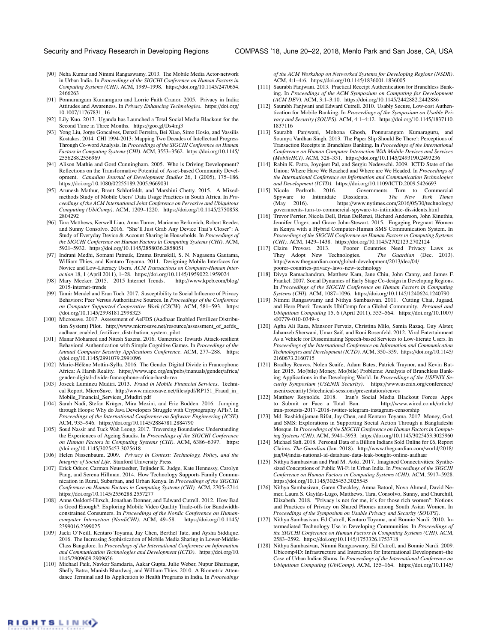- <span id="page-12-22"></span>[90] Neha Kumar and Nimmi Rangaswamy. 2013. The Mobile Media Actor-network in Urban India. In *Proceedings of the SIGCHI Conference on Human Factors in Computing Systems (CHI)*. ACM, 1989–1998. https://doi.org/10.1145/[2470654.](https://doi.org/10.1145/2470654.2466263) [2466263](https://doi.org/10.1145/2470654.2466263)
- <span id="page-12-6"></span>[91] Ponnurangam Kumaraguru and Lorrie Faith Cranor. 2005. Privacy in India: Attitudes and Awareness. In *Privacy Enhancing Technologies*. https://[doi.org](https://doi.org/10.1007/11767831_16)/ 10.1007/[11767831\\_16](https://doi.org/10.1007/11767831_16)
- <span id="page-12-29"></span>[92] Lily Kuo. 2017. Uganda has Launched a Total Social Media Blackout for the Second Time in Three Months. https://goo.gl/[Ds4mj3](https://goo.gl/Ds4mj3)
- <span id="page-12-7"></span>[93] Yong Liu, Jorge Goncalves, Denzil Ferreira, Bei Xiao, Simo Hosio, and Vassilis Kostakos. 2014. CHI 1994-2013: Mapping Two Decades of Intellectual Progress Through Co-word Analysis. In *Proceedings of the SIGCHI Conference on Human Factors in Computing Systems (CHI)*. ACM, 3553–3562. https://doi.org/[10.1145](https://doi.org/10.1145/2556288.2556969)/ [2556288.2556969](https://doi.org/10.1145/2556288.2556969)
- <span id="page-12-19"></span>[94] Alison Mathie and Gord Cunningham. 2005. Who is Driving Development? Reflections on the Transformative Potential of Asset-based Community Development. *Canadian Journal of Development Studies* 26, 1 (2005), 175–186. https://doi.org/10.1080/[02255189.2005.9669031](https://doi.org/10.1080/02255189.2005.9669031)
- <span id="page-12-24"></span>[95] Arunesh Mathur, Brent Schlotfeldt, and Marshini Chetty. 2015. A Mixedmethods Study of Mobile Users' Data Usage Practices in South Africa. In *Proceedings of the ACM International Joint Conference on Pervasive and Ubiquitous Computing (UbiComp)*. ACM, 1209–1220. https://doi.org/10.1145/[2750858.](https://doi.org/10.1145/2750858.2804292) [2804292](https://doi.org/10.1145/2750858.2804292)
- <span id="page-12-27"></span>[96] Tara Matthews, Kerwell Liao, Anna Turner, Marianne Berkovich, Robert Reeder, and Sunny Consolvo. 2016. "She'll Just Grab Any Device That's Closer": A Study of Everyday Device & Account Sharing in Households. In *Proceedings of the SIGCHI Conference on Human Factors in Computing Systems (CHI)*. ACM, 5921–5932. https://doi.org/10.1145/[2858036.2858051](https://doi.org/10.1145/2858036.2858051)
- <span id="page-12-17"></span>[97] Indrani Medhi, Somani Patnaik, Emma Brunskill, S. N. Nagasena Gautama, William Thies, and Kentaro Toyama. 2011. Designing Mobile Interfaces for Novice and Low-Literacy Users. *ACM Transactions on Computer-Human Interaction* 18, 1 (April 2011), 1–28. https://doi.org/10.1145/[1959022.1959024](https://doi.org/10.1145/1959022.1959024)
- <span id="page-12-0"></span>[98] Mary Meeker. 2015. 2015 Internet Trends. http://[www.kpcb.com](http://www.kpcb.com/blog/2015-internet-trends)/blog/ [2015-internet-trends](http://www.kpcb.com/blog/2015-internet-trends)
- <span id="page-12-35"></span>[99] Tamir Mendel and Eran Toch. 2017. Susceptibility to Social Influence of Privacy Behaviors: Peer Versus Authoritative Sources. In *Proceedings of the Conference on Computer Supported Cooperative Work (CSCW)*. ACM, 581–593. [https:](https://doi.org/10.1145/2998181.2998323) //doi.org/10.1145/[2998181.2998323](https://doi.org/10.1145/2998181.2998323)
- <span id="page-12-32"></span>[100] Microsave. 2017. Assessment of AeFDS (Aadhaar Enabled Fertilizer Distribution System) Pilot. http://www.microsave.net/resource/[assessment\\_of\\_aefds\\_](http://www.microsave.net/resource/assessment_of_aefds_aadhaar_enabled_fertilizer_distribution_system_pilot) [aadhaar\\_enabled\\_fertilizer\\_distribution\\_system\\_pilot](http://www.microsave.net/resource/assessment_of_aefds_aadhaar_enabled_fertilizer_distribution_system_pilot)
- <span id="page-12-34"></span>[101] Manar Mohamed and Nitesh Saxena. 2016. Gametrics: Towards Attack-resilient Behavioral Authentication with Simple Cognitive Games. In *Proceedings of the Annual Computer Security Applications Conference*. ACM, 277–288. [https:](https://doi.org/10.1145/2991079.2991096) //doi.org/10.1145/[2991079.2991096](https://doi.org/10.1145/2991079.2991096)
- <span id="page-12-9"></span>[102] Marie-Hélène Mottin-Sylla. 2016. The Gender Digital Divide in Francophone Africa: A Harsh Reality. https://[www.apc.org](https://www.apc.org/en/pubs/manuals/gender/africa/gender-digital-divide-francophone-africa-harsh-rea)/en/pubs/manuals/gender/africa/ [gender-digital-divide-francophone-africa-harsh-rea](https://www.apc.org/en/pubs/manuals/gender/africa/gender-digital-divide-francophone-africa-harsh-rea)
- <span id="page-12-18"></span>[103] Joseck Luminzu Mudiri. 2013. *Fraud in Mobile Financial Services*. Technical Report. MicroSave. http://[www.microsave.net](http://www.microsave.net/files/pdf/RP151_Fraud_in_Mobile_Financial_Services_JMudiri.pdf)/files/pdf/RP151\_Fraud\_in\_ [Mobile\\_Financial\\_Services\\_JMudiri.pdf](http://www.microsave.net/files/pdf/RP151_Fraud_in_Mobile_Financial_Services_JMudiri.pdf)
- <span id="page-12-38"></span>[104] Sarah Nadi, Stefan Krüger, Mira Mezini, and Eric Bodden. 2016. Jumping through Hoops: Why do Java Developers Struggle with Cryptography APIs?. In *Proceedings of the International Conference on Software Engineering (ICSE)*. ACM, 935–946. https://doi.org/10.1145/[2884781.2884790](https://doi.org/10.1145/2884781.2884790)
- <span id="page-12-13"></span>[105] Soud Nassir and Tuck Wah Leong. 2017. Traversing Boundaries: Understanding the Experiences of Ageing Saudis. In *Proceedings of the SIGCHI Conference on Human Factors in Computing Systems (CHI)*. ACM, 6386–6397. [https:](https://doi.org/10.1145/3025453.3025618) //doi.org/10.1145/[3025453.3025618](https://doi.org/10.1145/3025453.3025618)
- <span id="page-12-5"></span>[106] Helen Nissenbaum. 2009. *Privacy in Context: Technology, Policy, and the Integrity of Social Life*. Stanford University Press.
- <span id="page-12-1"></span>[107] Erick Oduor, Carman Neustaedter, Tejinder K. Judge, Kate Hennessy, Carolyn Pang, and Serena Hillman. 2014. How Technology Supports Family Communication in Rural, Suburban, and Urban Kenya. In *Proceedings of the SIGCHI Conference on Human Factors in Computing Systems (CHI)*. ACM, 2705–2714. https://doi.org/10.1145/[2556288.2557277](https://doi.org/10.1145/2556288.2557277)
- <span id="page-12-25"></span>[108] Anne Oeldorf-Hirsch, Jonathan Donner, and Edward Cutrell. 2012. How Bad is Good Enough?: Exploring Mobile Video Quality Trade-offs for Bandwidthconstrained Consumers. In *Proceedings of the Nordic Conference on Humancomputer Interaction (NordiCHI)*. ACM, 49–58. https://doi.org/[10.1145](https://doi.org/10.1145/2399016.2399025)/ [2399016.2399025](https://doi.org/10.1145/2399016.2399025)
- <span id="page-12-21"></span>[109] Jacki O'Neill, Kentaro Toyama, Jay Chen, Berthel Tate, and Aysha Siddique. 2016. The Increasing Sophistication of Mobile Media Sharing in Lower-Middle-Class Bangalore. In *Proceedings of the International Conference on Information and Communication Technologies and Development (ICTD)*. https://[doi.org](https://doi.org/10.1145/2909609.2909656)/10. 1145/[2909609.2909656](https://doi.org/10.1145/2909609.2909656)
- <span id="page-12-11"></span>[110] Michael Paik, Navkar Samdaria, Aakar Gupta, Julie Weber, Nupur Bhatnagar, Shelly Batra, Manish Bhardwaj, and William Thies. 2010. A Biometric Atten[dance Terminal and Its Application to Health Programs in India. In](https://doi.org/10.1145/1620545.1620570) *Proceedings*

*of the ACM Workshop on Networked Systems for Developing Regions (NSDR)*. ACM, 4:1–4:6. https://doi.org/10.1145/[1836001.1836005](https://doi.org/10.1145/1836001.1836005)

- <span id="page-12-16"></span>[111] Saurabh Panjwani. 2013. Practical Receipt Authentication for Branchless Banking. In *Proceedings of the ACM Symposium on Computing for Development (ACM DEV)*. ACM, 3:1–3:10. https://doi.org/10.1145/[2442882.2442886](https://doi.org/10.1145/2442882.2442886)
- <span id="page-12-26"></span>[112] Saurabh Panjwani and Edward Cutrell. 2010. Usably Secure, Low-cost Authentication for Mobile Banking. In *Proceedings of the Symposium on Usable Privacy and Security (SOUPS)*. ACM, 4:1–4:12. https://doi.org/10.1145/[1837110.](https://doi.org/10.1145/1837110.1837116) [1837116](https://doi.org/10.1145/1837110.1837116)
- <span id="page-12-23"></span>[113] Saurabh Panjwani, Mohona Ghosh, Ponnurangam Kumaraguru, and Soumya Vardhan Singh. 2013. The Paper Slip Should Be There!: Perceptions of Transaction Receipts in Branchless Banking. In *Proceedings of the International Conference on Human Computer Interaction With Mobile Devices and Services (MobileHCI)*. ACM, 328–331. https://doi.org/10.1145/[2493190.2493236](https://doi.org/10.1145/2493190.2493236)
- <span id="page-12-3"></span>[114] Rabin K. Patra, Joyojeet Pal, and Sergiu Nedevschi. 2009. ICTD State of the Union: Where Have We Reached and Where are We Headed. In *Proceedings of the International Conference on Information and Communication Technologies and Development (ICTD)*. https://doi.org/10.1109/[ICTD.2009.5426693](https://doi.org/10.1109/ICTD.2009.5426693)
- <span id="page-12-28"></span>Governments Turn to Commercial<br>Dissidents. The New York Times Spyware to Intimidate<br>(May 2016). <sup>1</sup> https://[www.nytimes.com](https://www.nytimes.com/2016/05/30/technology/governments-turn-to-commercial-spyware-to-intimidate-dissidents.html)/2016/05/30/technology/ [governments-turn-to-commercial-spyware-to-intimidate-dissidents.html](https://www.nytimes.com/2016/05/30/technology/governments-turn-to-commercial-spyware-to-intimidate-dissidents.html)
- <span id="page-12-4"></span>[116] Trevor Perrier, Nicola Dell, Brian DeRenzi, Richard Anderson, John Kinuthia, Jennifer Unger, and Grace John-Stewart. 2015. Engaging Pregnant Women in Kenya with a Hybrid Computer-Human SMS Communication System. In *Proceedings of the SIGCHI Conference on Human Factors in Computing Systems (CHI)*. ACM, 1429–1438. https://doi.org/10.1145/[2702123.2702124](https://doi.org/10.1145/2702123.2702124)
- <span id="page-12-37"></span>Poorer Countries Need Privacy Laws as nologies. The Guardian (Dec. 2013). They Adopt New Technologies. http://[www.theguardian.com](http://www.theguardian.com/global-development/2013/dec/04/poorer-countries-privacy-laws-new-technology)/global-development/2013/dec/04/ [poorer-countries-privacy-laws-new-technology](http://www.theguardian.com/global-development/2013/dec/04/poorer-countries-privacy-laws-new-technology)
- <span id="page-12-12"></span>[118] Divya Ramachandran, Matthew Kam, Jane Chiu, John Canny, and James F. Frankel. 2007. Social Dynamics of Early Stage Co-design in Developing Regions. In *Proceedings of the SIGCHI Conference on Human Factors in Computing Systems (CHI)*. ACM, 1087–1096. https://doi.org/10.1145/[1240624.1240790](https://doi.org/10.1145/1240624.1240790)
- <span id="page-12-20"></span>[119] Nimmi Rangaswamy and Nithya Sambasivan. 2011. Cutting Chai, Jugaad, and Here Pheri: Towards UbiComp for a Global Community. *Personal and Ubiquitous Computing* 15, 6 (April 2011), 553–564. https://doi.org/[10.1007](https://doi.org/10.1007/s00779-010-0349-x)/ [s00779-010-0349-x](https://doi.org/10.1007/s00779-010-0349-x)
- <span id="page-12-14"></span>[120] Agha Ali Raza, Mansoor Pervaiz, Christina Milo, Samia Razaq, Guy Alster, Jahanzeb Sherwani, Umar Saif, and Roni Rosenfeld. 2012. Viral Entertainment As a Vehicle for Disseminating Speech-based Services to Low-literate Users. In *Proceedings of the International Conference on Information and Communication Technologies and Development (ICTD)*. ACM, 350–359. https://doi.org/[10.1145](https://doi.org/10.1145/2160673.2160715)/ [2160673.2160715](https://doi.org/10.1145/2160673.2160715)
- <span id="page-12-36"></span>[121] Bradley Reaves, Nolen Scaife, Adam Bates, Patrick Traynor, and Kevin Butler. 2015. Mo(bile) Money, Mo(bile) Problems: Analysis of Branchless Banking Applications in the Developing World. In *Proceedings of the USENIX Security Symposium (USENIX Security)*. https://[www.usenix.org](https://www.usenix.org/conference/usenixsecurity15/technical-sessions/presentation/reaves)/conference/ usenixsecurity15/[technical-sessions](https://www.usenix.org/conference/usenixsecurity15/technical-sessions/presentation/reaves)/presentation/reaves
- <span id="page-12-30"></span>[122] Matthew Reynolds. 2018. Iran's Social Media Blackout Forces Apps to Submit or Face a Total Ban. http://[www.wired.co.uk](http://www.wired.co.uk/article/iran-protests-2017-2018-twitter-telegram-instagram-censorship)/article/ [iran-protests-2017-2018-twitter-telegram-instagram-censorship](http://www.wired.co.uk/article/iran-protests-2017-2018-twitter-telegram-instagram-censorship)
- <span id="page-12-15"></span>[123] Md. Rashidujjaman Rifat, Jay Chen, and Kentaro Toyama. 2017. Money, God, and SMS: Explorations in Supporting Social Action Through a Bangladeshi Mosque. In *Proceedings of the SIGCHI Conference on Human Factors in Computing Systems (CHI)*. ACM, 5941–5953. https://doi.org/10.1145/[3025453.3025960](https://doi.org/10.1145/3025453.3025960)
- <span id="page-12-31"></span>[124] Michael Safi. 2018. Personal Data of a Billion Indians Sold Online for £6, Report Claims. *The Guardian* (Jan. 2018). http://[www.theguardian.com](http://www.theguardian.com/world/2018/jan/04/india-national-id-database-data-leak-bought-online-aadhaar)/world/2018/ jan/04/[india-national-id-database-data-leak-bought-online-aadhaar](http://www.theguardian.com/world/2018/jan/04/india-national-id-database-data-leak-bought-online-aadhaar)
- <span id="page-12-10"></span>[125] Nithya Sambasivan and Paul M. Aoki. 2017. Imagined Connectivities: Synthesized Conceptions of Public Wi-Fi in Urban India. In *Proceedings of the SIGCHI Conference on Human Factors in Computing Systems (CHI)*. ACM, 5917–5928. https://doi.org/10.1145/[3025453.3025545](https://doi.org/10.1145/3025453.3025545)
- <span id="page-12-33"></span>[126] Nithya Sambasivan, Garen Checkley, Amna Batool, Nova Ahmed, David Nemer, Laura S. Gaytán-Lugo, Matthews, Tara, Consolvo, Sunny, and Churchill, Elizabeth. 2018. "Privacy is not for me, it's for those rich women": Notions and Practices of Privacy on Shared Phones among South Asian Women. In *Proceedings of the Symposium on Usable Privacy and Security (SOUPS)*.
- <span id="page-12-2"></span>[127] Nithya Sambasivan, Ed Cutrell, Kentaro Toyama, and Bonnie Nardi. 2010. Intermediated Technology Use in Developing Communities. In *Proceedings of the SIGCHI Conference on Human Factors in Computing Systems (CHI)*. ACM, 2583–2592. https://doi.org/10.1145/[1753326.1753718](https://doi.org/10.1145/1753326.1753718)
- <span id="page-12-8"></span>[128] Nithya Sambasivan, Nimmi Rangaswamy, Ed Cutrell, and Bonnie Nardi. 2009. Ubicomp4D: Infrastructure and Interaction for International Development–the Case of Urban Indian Slums. In *Proceedings of the International Conference on Ubiquitous Computing (UbiComp)*. ACM, 155–164. https://doi.org/[10.1145](https://doi.org/10.1145/1620545.1620570)/